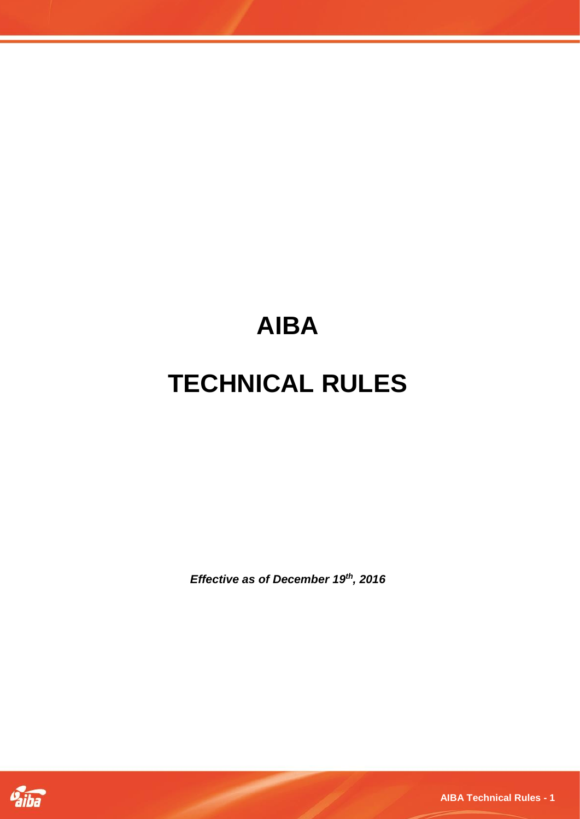# **AIBA**

# **TECHNICAL RULES**

*Effective as of December 19th, 2016*



**AIBA Technical Rules - 1**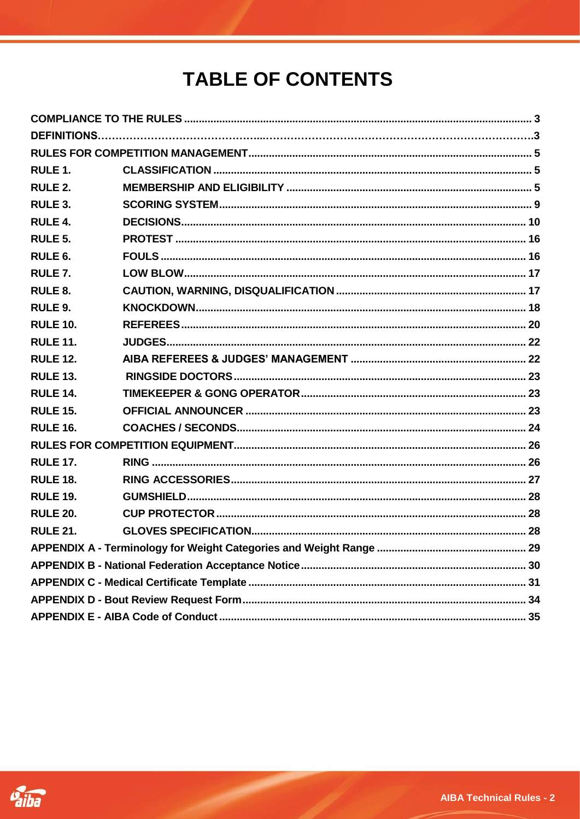# **TABLE OF CONTENTS**

| RULE <sub>1</sub> . |  |  |  |  |  |
|---------------------|--|--|--|--|--|
| RULE 2.             |  |  |  |  |  |
| RULE 3.             |  |  |  |  |  |
| RULE 4.             |  |  |  |  |  |
| RULE <sub>5</sub> . |  |  |  |  |  |
| RULE <sub>6</sub> . |  |  |  |  |  |
| RULE <sub>7</sub> . |  |  |  |  |  |
| RULE 8.             |  |  |  |  |  |
| RULE 9.             |  |  |  |  |  |
| <b>RULE 10.</b>     |  |  |  |  |  |
| <b>RULE 11.</b>     |  |  |  |  |  |
| <b>RULE 12.</b>     |  |  |  |  |  |
| <b>RULE 13.</b>     |  |  |  |  |  |
| <b>RULE 14.</b>     |  |  |  |  |  |
| <b>RULE 15.</b>     |  |  |  |  |  |
| <b>RULE 16.</b>     |  |  |  |  |  |
|                     |  |  |  |  |  |
| <b>RULE 17.</b>     |  |  |  |  |  |
| <b>RULE 18.</b>     |  |  |  |  |  |
| <b>RULE 19.</b>     |  |  |  |  |  |
| <b>RULE 20.</b>     |  |  |  |  |  |
| <b>RULE 21.</b>     |  |  |  |  |  |
|                     |  |  |  |  |  |
|                     |  |  |  |  |  |
|                     |  |  |  |  |  |
|                     |  |  |  |  |  |
|                     |  |  |  |  |  |

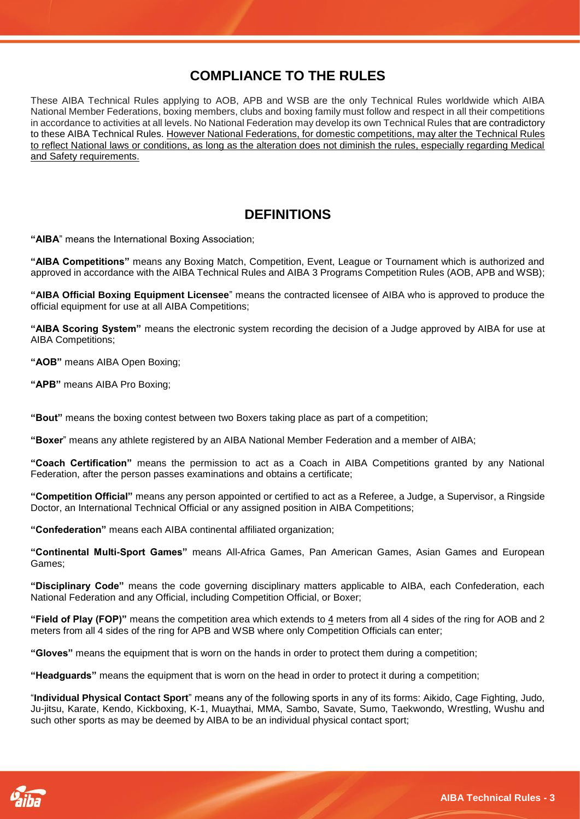# **COMPLIANCE TO THE RULES**

<span id="page-2-0"></span>These AIBA Technical Rules applying to AOB, APB and WSB are the only Technical Rules worldwide which AIBA National Member Federations, boxing members, clubs and boxing family must follow and respect in all their competitions in accordance to activities at all levels. No National Federation may develop its own Technical Rules that are contradictory to these AIBA Technical Rules. However National Federations, for domestic competitions, may alter the Technical Rules to reflect National laws or conditions, as long as the alteration does not diminish the rules, especially regarding Medical and Safety requirements.

# **DEFINITIONS**

<span id="page-2-1"></span>**"AIBA**" means the International Boxing Association;

**"AIBA Competitions"** means any Boxing Match, Competition, Event, League or Tournament which is authorized and approved in accordance with the AIBA Technical Rules and AIBA 3 Programs Competition Rules (AOB, APB and WSB);

**"AIBA Official Boxing Equipment Licensee**" means the contracted licensee of AIBA who is approved to produce the official equipment for use at all AIBA Competitions;

**"AIBA Scoring System"** means the electronic system recording the decision of a Judge approved by AIBA for use at AIBA Competitions;

**"AOB"** means AIBA Open Boxing;

**"APB"** means AIBA Pro Boxing;

**"Bout"** means the boxing contest between two Boxers taking place as part of a competition;

**"Boxer**" means any athlete registered by an AIBA National Member Federation and a member of AIBA;

**"Coach Certification"** means the permission to act as a Coach in AIBA Competitions granted by any National Federation, after the person passes examinations and obtains a certificate;

**"Competition Official"** means any person appointed or certified to act as a Referee, a Judge, a Supervisor, a Ringside Doctor, an International Technical Official or any assigned position in AIBA Competitions;

**"Confederation"** means each AIBA continental affiliated organization;

**"Continental Multi-Sport Games"** means All-Africa Games, Pan American Games, Asian Games and European Games;

**"Disciplinary Code"** means the code governing disciplinary matters applicable to AIBA, each Confederation, each National Federation and any Official, including Competition Official, or Boxer;

**"Field of Play (FOP)"** means the competition area which extends to 4 meters from all 4 sides of the ring for AOB and 2 meters from all 4 sides of the ring for APB and WSB where only Competition Officials can enter;

**"Gloves"** means the equipment that is worn on the hands in order to protect them during a competition;

**"Headguards"** means the equipment that is worn on the head in order to protect it during a competition;

"**Individual Physical Contact Sport**" means any of the following sports in any of its forms: Aikido, Cage Fighting, Judo, Ju-jitsu, Karate, Kendo, Kickboxing, K-1, Muaythai, MMA, Sambo, Savate, Sumo, Taekwondo, Wrestling, Wushu and such other sports as may be deemed by AIBA to be an individual physical contact sport:

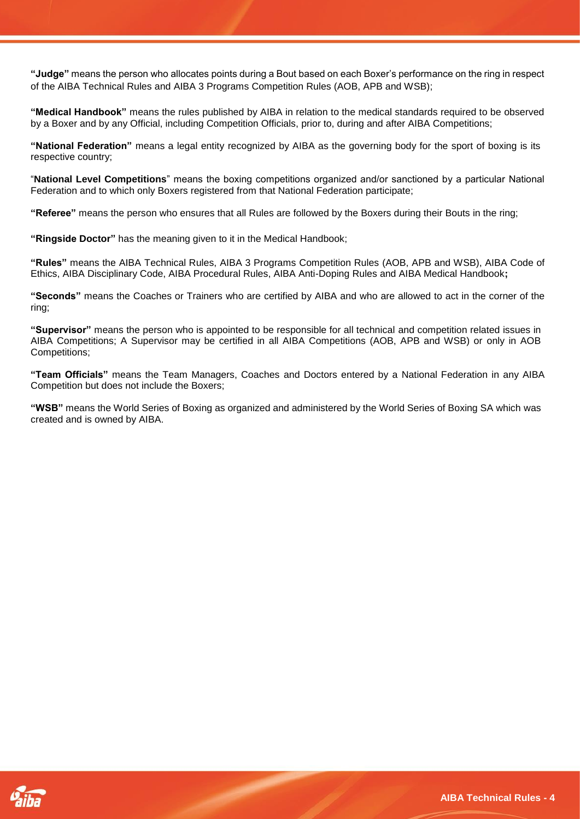**"Judge"** means the person who allocates points during a Bout based on each Boxer's performance on the ring in respect of the AIBA Technical Rules and AIBA 3 Programs Competition Rules (AOB, APB and WSB);

**"Medical Handbook"** means the rules published by AIBA in relation to the medical standards required to be observed by a Boxer and by any Official, including Competition Officials, prior to, during and after AIBA Competitions;

**"National Federation"** means a legal entity recognized by AIBA as the governing body for the sport of boxing is its respective country;

"**National Level Competitions**" means the boxing competitions organized and/or sanctioned by a particular National Federation and to which only Boxers registered from that National Federation participate;

**"Referee"** means the person who ensures that all Rules are followed by the Boxers during their Bouts in the ring;

**"Ringside Doctor"** has the meaning given to it in the Medical Handbook;

**"Rules"** means the AIBA Technical Rules, AIBA 3 Programs Competition Rules (AOB, APB and WSB), AIBA Code of Ethics, AIBA Disciplinary Code, AIBA Procedural Rules, AIBA Anti-Doping Rules and AIBA Medical Handbook**;**

**"Seconds"** means the Coaches or Trainers who are certified by AIBA and who are allowed to act in the corner of the ring;

**"Supervisor"** means the person who is appointed to be responsible for all technical and competition related issues in AIBA Competitions; A Supervisor may be certified in all AIBA Competitions (AOB, APB and WSB) or only in AOB Competitions;

**"Team Officials"** means the Team Managers, Coaches and Doctors entered by a National Federation in any AIBA Competition but does not include the Boxers;

**"WSB"** means the World Series of Boxing as organized and administered by the World Series of Boxing SA which was created and is owned by AIBA.

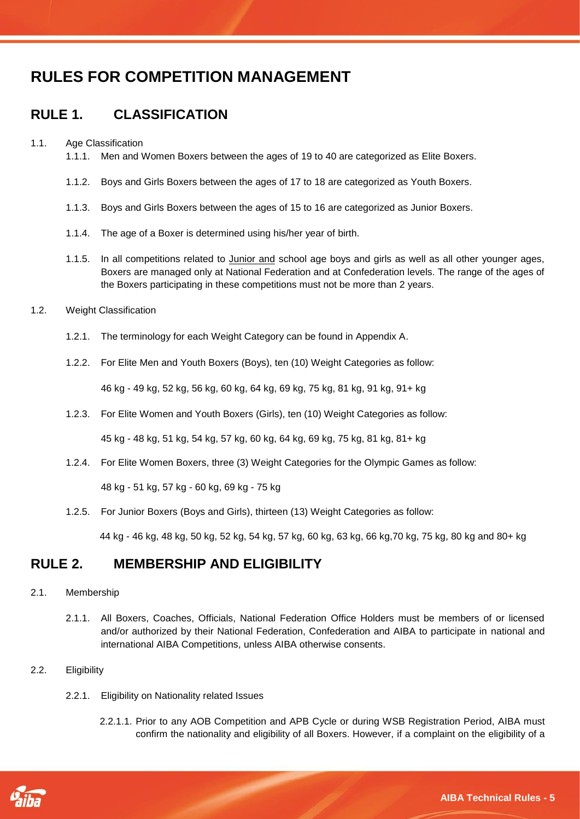# <span id="page-4-0"></span>**RULES FOR COMPETITION MANAGEMENT**

# <span id="page-4-1"></span>**RULE 1. CLASSIFICATION**

#### 1.1. Age Classification

- 1.1.1. Men and Women Boxers between the ages of 19 to 40 are categorized as Elite Boxers.
- 1.1.2. Boys and Girls Boxers between the ages of 17 to 18 are categorized as Youth Boxers.
- 1.1.3. Boys and Girls Boxers between the ages of 15 to 16 are categorized as Junior Boxers.
- 1.1.4. The age of a Boxer is determined using his/her year of birth.
- 1.1.5. In all competitions related to Junior and school age boys and girls as well as all other younger ages, Boxers are managed only at National Federation and at Confederation levels. The range of the ages of the Boxers participating in these competitions must not be more than 2 years.
- 1.2. Weight Classification
	- 1.2.1. The terminology for each Weight Category can be found in Appendix A.
	- 1.2.2. For Elite Men and Youth Boxers (Boys), ten (10) Weight Categories as follow:

46 kg - 49 kg, 52 kg, 56 kg, 60 kg, 64 kg, 69 kg, 75 kg, 81 kg, 91 kg, 91+ kg

1.2.3. For Elite Women and Youth Boxers (Girls), ten (10) Weight Categories as follow:

45 kg - 48 kg, 51 kg, 54 kg, 57 kg, 60 kg, 64 kg, 69 kg, 75 kg, 81 kg, 81+ kg

1.2.4. For Elite Women Boxers, three (3) Weight Categories for the Olympic Games as follow:

48 kg - 51 kg, 57 kg - 60 kg, 69 kg - 75 kg

1.2.5. For Junior Boxers (Boys and Girls), thirteen (13) Weight Categories as follow:

44 kg - 46 kg, 48 kg, 50 kg, 52 kg, 54 kg, 57 kg, 60 kg, 63 kg, 66 kg,70 kg, 75 kg, 80 kg and 80+ kg

## <span id="page-4-2"></span>**RULE 2. MEMBERSHIP AND ELIGIBILITY**

#### 2.1. Membership

2.1.1. All Boxers, Coaches, Officials, National Federation Office Holders must be members of or licensed and/or authorized by their National Federation, Confederation and AIBA to participate in national and international AIBA Competitions, unless AIBA otherwise consents.

#### 2.2. Eligibility

- 2.2.1. Eligibility on Nationality related Issues
	- 2.2.1.1. Prior to any AOB Competition and APB Cycle or during WSB Registration Period, AIBA must confirm the nationality and eligibility of all Boxers. However, if a complaint on the eligibility of a

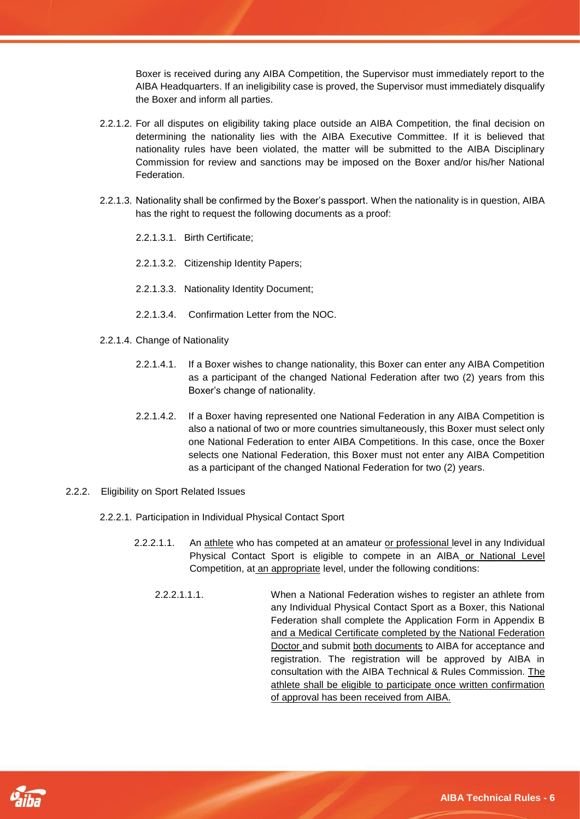Boxer is received during any AIBA Competition, the Supervisor must immediately report to the AIBA Headquarters. If an ineligibility case is proved, the Supervisor must immediately disqualify the Boxer and inform all parties.

- 2.2.1.2. For all disputes on eligibility taking place outside an AIBA Competition, the final decision on determining the nationality lies with the AIBA Executive Committee. If it is believed that nationality rules have been violated, the matter will be submitted to the AIBA Disciplinary Commission for review and sanctions may be imposed on the Boxer and/or his/her National Federation.
- 2.2.1.3. Nationality shall be confirmed by the Boxer's passport. When the nationality is in question, AIBA has the right to request the following documents as a proof:
	- 2.2.1.3.1. Birth Certificate;
	- 2.2.1.3.2. Citizenship Identity Papers;
	- 2.2.1.3.3. Nationality Identity Document;
	- 2.2.1.3.4. Confirmation Letter from the NOC.
- 2.2.1.4. Change of Nationality
	- 2.2.1.4.1. If a Boxer wishes to change nationality, this Boxer can enter any AIBA Competition as a participant of the changed National Federation after two (2) years from this Boxer's change of nationality.
	- 2.2.1.4.2. If a Boxer having represented one National Federation in any AIBA Competition is also a national of two or more countries simultaneously, this Boxer must select only one National Federation to enter AIBA Competitions. In this case, once the Boxer selects one National Federation, this Boxer must not enter any AIBA Competition as a participant of the changed National Federation for two (2) years.
- 2.2.2. Eligibility on Sport Related Issues
	- 2.2.2.1. Participation in Individual Physical Contact Sport

- 2.2.2.1.1. An athlete who has competed at an amateur or professional level in any Individual Physical Contact Sport is eligible to compete in an AIBA or National Level Competition, at an appropriate level, under the following conditions:
	- 2.2.2.1.1.1. When a National Federation wishes to register an athlete from any Individual Physical Contact Sport as a Boxer, this National Federation shall complete the Application Form in Appendix B and a Medical Certificate completed by the National Federation Doctor and submit both documents to AIBA for acceptance and registration. The registration will be approved by AIBA in consultation with the AIBA Technical & Rules Commission. The athlete shall be eligible to participate once written confirmation of approval has been received from AIBA.

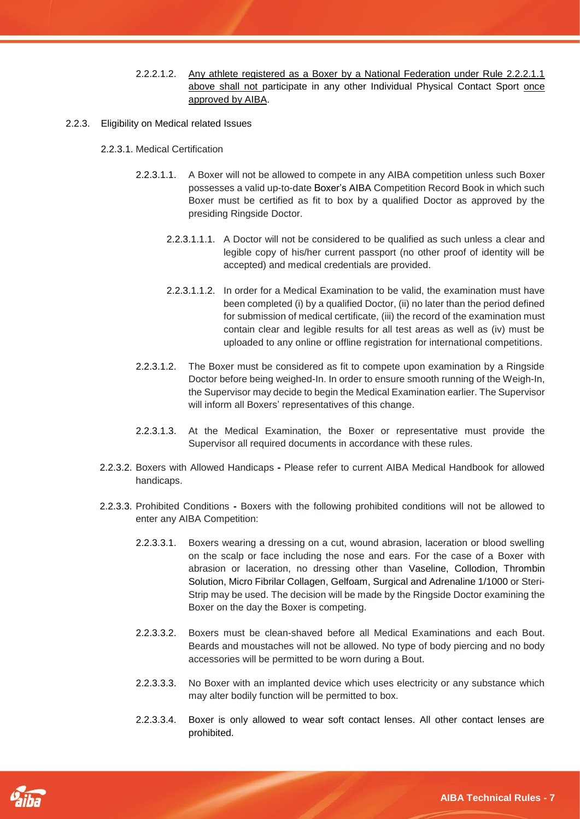- 2.2.2.1.2. Any athlete registered as a Boxer by a National Federation under Rule 2.2.2.1.1 above shall not participate in any other Individual Physical Contact Sport once approved by AIBA.
- 2.2.3. Eligibility on Medical related Issues
	- 2.2.3.1. Medical Certification
		- 2.2.3.1.1. A Boxer will not be allowed to compete in any AIBA competition unless such Boxer possesses a valid up-to-date Boxer's AIBA Competition Record Book in which such Boxer must be certified as fit to box by a qualified Doctor as approved by the presiding Ringside Doctor.
			- 2.2.3.1.1.1. A Doctor will not be considered to be qualified as such unless a clear and legible copy of his/her current passport (no other proof of identity will be accepted) and medical credentials are provided.
			- 2.2.3.1.1.2. In order for a Medical Examination to be valid, the examination must have been completed (i) by a qualified Doctor, (ii) no later than the period defined for submission of medical certificate, (iii) the record of the examination must contain clear and legible results for all test areas as well as (iv) must be uploaded to any online or offline registration for international competitions.
		- 2.2.3.1.2. The Boxer must be considered as fit to compete upon examination by a Ringside Doctor before being weighed-In. In order to ensure smooth running of the Weigh-In, the Supervisor may decide to begin the Medical Examination earlier. The Supervisor will inform all Boxers' representatives of this change.
		- 2.2.3.1.3. At the Medical Examination, the Boxer or representative must provide the Supervisor all required documents in accordance with these rules.
	- 2.2.3.2. Boxers with Allowed Handicaps **-** Please refer to current AIBA Medical Handbook for allowed handicaps.
	- 2.2.3.3. Prohibited Conditions **-** Boxers with the following prohibited conditions will not be allowed to enter any AIBA Competition:
		- 2.2.3.3.1. Boxers wearing a dressing on a cut, wound abrasion, laceration or blood swelling on the scalp or face including the nose and ears. For the case of a Boxer with abrasion or laceration, no dressing other than Vaseline, Collodion, Thrombin Solution, Micro Fibrilar Collagen, Gelfoam, Surgical and Adrenaline 1/1000 or Steri-Strip may be used. The decision will be made by the Ringside Doctor examining the Boxer on the day the Boxer is competing.
		- 2.2.3.3.2. Boxers must be clean-shaved before all Medical Examinations and each Bout. Beards and moustaches will not be allowed. No type of body piercing and no body accessories will be permitted to be worn during a Bout.
		- 2.2.3.3.3. No Boxer with an implanted device which uses electricity or any substance which may alter bodily function will be permitted to box.
		- 2.2.3.3.4. Boxer is only allowed to wear soft contact lenses. All other contact lenses are prohibited.

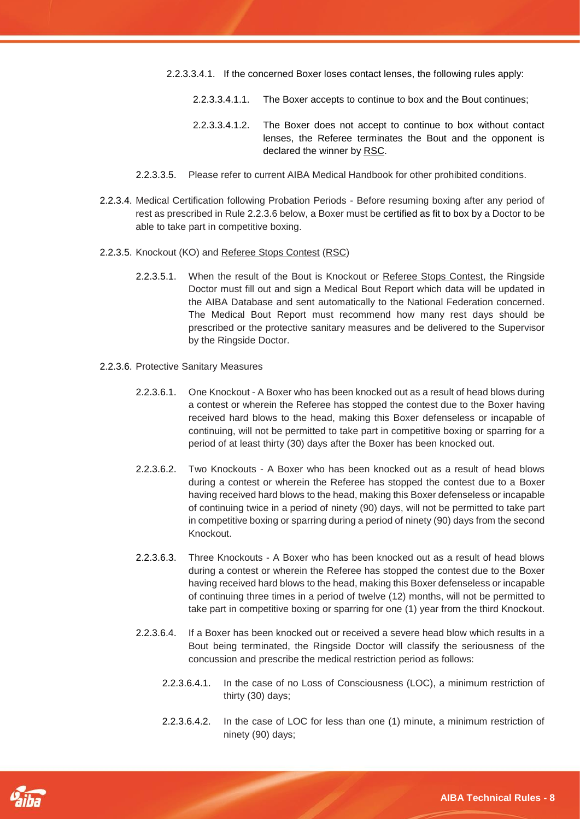- 2.2.3.3.4.1. If the concerned Boxer loses contact lenses, the following rules apply:
	- 2.2.3.3.4.1.1. The Boxer accepts to continue to box and the Bout continues;
	- 2.2.3.3.4.1.2. The Boxer does not accept to continue to box without contact lenses, the Referee terminates the Bout and the opponent is declared the winner by RSC.
- 2.2.3.3.5. Please refer to current AIBA Medical Handbook for other prohibited conditions.
- 2.2.3.4. Medical Certification following Probation Periods Before resuming boxing after any period of rest as prescribed in Rule 2.2.3.6 below, a Boxer must be certified as fit to box by a Doctor to be able to take part in competitive boxing.
- 2.2.3.5. Knockout (KO) and Referee Stops Contest (RSC)
	- 2.2.3.5.1. When the result of the Bout is Knockout or Referee Stops Contest, the Ringside Doctor must fill out and sign a Medical Bout Report which data will be updated in the AIBA Database and sent automatically to the National Federation concerned. The Medical Bout Report must recommend how many rest days should be prescribed or the protective sanitary measures and be delivered to the Supervisor by the Ringside Doctor.
- 2.2.3.6. Protective Sanitary Measures
	- 2.2.3.6.1. One Knockout A Boxer who has been knocked out as a result of head blows during a contest or wherein the Referee has stopped the contest due to the Boxer having received hard blows to the head, making this Boxer defenseless or incapable of continuing, will not be permitted to take part in competitive boxing or sparring for a period of at least thirty (30) days after the Boxer has been knocked out.
	- 2.2.3.6.2. Two Knockouts A Boxer who has been knocked out as a result of head blows during a contest or wherein the Referee has stopped the contest due to a Boxer having received hard blows to the head, making this Boxer defenseless or incapable of continuing twice in a period of ninety (90) days, will not be permitted to take part in competitive boxing or sparring during a period of ninety (90) days from the second Knockout.
	- 2.2.3.6.3. Three Knockouts A Boxer who has been knocked out as a result of head blows during a contest or wherein the Referee has stopped the contest due to the Boxer having received hard blows to the head, making this Boxer defenseless or incapable of continuing three times in a period of twelve (12) months, will not be permitted to take part in competitive boxing or sparring for one (1) year from the third Knockout.
	- 2.2.3.6.4. If a Boxer has been knocked out or received a severe head blow which results in a Bout being terminated, the Ringside Doctor will classify the seriousness of the concussion and prescribe the medical restriction period as follows:
		- 2.2.3.6.4.1. In the case of no Loss of Consciousness (LOC), a minimum restriction of thirty (30) days;
		- 2.2.3.6.4.2. In the case of LOC for less than one (1) minute, a minimum restriction of ninety (90) days;

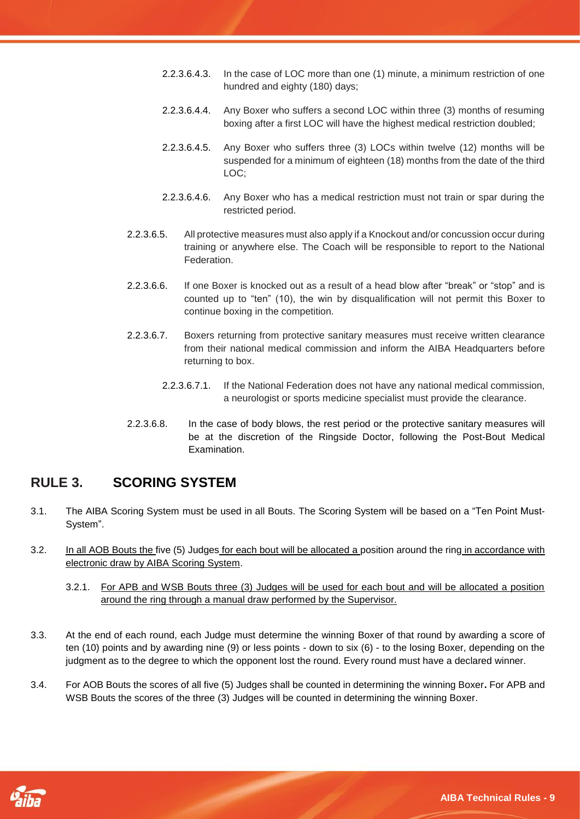- 2.2.3.6.4.3. In the case of LOC more than one (1) minute, a minimum restriction of one hundred and eighty (180) days;
- 2.2.3.6.4.4. Any Boxer who suffers a second LOC within three (3) months of resuming boxing after a first LOC will have the highest medical restriction doubled;
- 2.2.3.6.4.5. Any Boxer who suffers three (3) LOCs within twelve (12) months will be suspended for a minimum of eighteen (18) months from the date of the third LOC;
- 2.2.3.6.4.6. Any Boxer who has a medical restriction must not train or spar during the restricted period.
- 2.2.3.6.5. All protective measures must also apply if a Knockout and/or concussion occur during training or anywhere else. The Coach will be responsible to report to the National Federation.
- 2.2.3.6.6. If one Boxer is knocked out as a result of a head blow after "break" or "stop" and is counted up to "ten" (10), the win by disqualification will not permit this Boxer to continue boxing in the competition.
- 2.2.3.6.7. Boxers returning from protective sanitary measures must receive written clearance from their national medical commission and inform the AIBA Headquarters before returning to box.
	- 2.2.3.6.7.1. If the National Federation does not have any national medical commission, a neurologist or sports medicine specialist must provide the clearance.
- 2.2.3.6.8. In the case of body blows, the rest period or the protective sanitary measures will be at the discretion of the Ringside Doctor, following the Post-Bout Medical Examination.

# <span id="page-8-0"></span>**RULE 3. SCORING SYSTEM**

- 3.1. The AIBA Scoring System must be used in all Bouts. The Scoring System will be based on a "Ten Point Must-System".
- 3.2. In all AOB Bouts the five (5) Judges for each bout will be allocated a position around the ring in accordance with electronic draw by AIBA Scoring System.
	- 3.2.1. For APB and WSB Bouts three (3) Judges will be used for each bout and will be allocated a position around the ring through a manual draw performed by the Supervisor.
- 3.3. At the end of each round, each Judge must determine the winning Boxer of that round by awarding a score of ten (10) points and by awarding nine (9) or less points - down to six (6) - to the losing Boxer, depending on the judgment as to the degree to which the opponent lost the round. Every round must have a declared winner.
- 3.4. For AOB Bouts the scores of all five (5) Judges shall be counted in determining the winning Boxer**.** For APB and WSB Bouts the scores of the three (3) Judges will be counted in determining the winning Boxer.

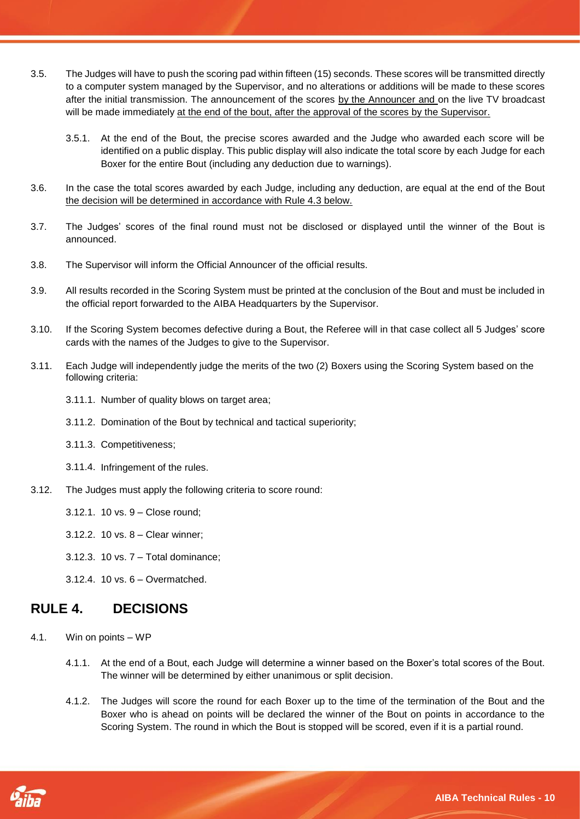- 3.5. The Judges will have to push the scoring pad within fifteen (15) seconds. These scores will be transmitted directly to a computer system managed by the Supervisor, and no alterations or additions will be made to these scores after the initial transmission. The announcement of the scores by the Announcer and on the live TV broadcast will be made immediately at the end of the bout, after the approval of the scores by the Supervisor.
	- 3.5.1. At the end of the Bout, the precise scores awarded and the Judge who awarded each score will be identified on a public display. This public display will also indicate the total score by each Judge for each Boxer for the entire Bout (including any deduction due to warnings).
- 3.6. In the case the total scores awarded by each Judge, including any deduction, are equal at the end of the Bout the decision will be determined in accordance with Rule 4.3 below.
- 3.7. The Judges' scores of the final round must not be disclosed or displayed until the winner of the Bout is announced.
- 3.8. The Supervisor will inform the Official Announcer of the official results.
- 3.9. All results recorded in the Scoring System must be printed at the conclusion of the Bout and must be included in the official report forwarded to the AIBA Headquarters by the Supervisor.
- 3.10. If the Scoring System becomes defective during a Bout, the Referee will in that case collect all 5 Judges' score cards with the names of the Judges to give to the Supervisor.
- 3.11. Each Judge will independently judge the merits of the two (2) Boxers using the Scoring System based on the following criteria:
	- 3.11.1. Number of quality blows on target area;
	- 3.11.2. Domination of the Bout by technical and tactical superiority;
	- 3.11.3. Competitiveness;
	- 3.11.4. Infringement of the rules.
- 3.12. The Judges must apply the following criteria to score round:
	- 3.12.1. 10 vs. 9 Close round;
	- 3.12.2. 10 vs. 8 Clear winner;
	- 3.12.3. 10 vs. 7 Total dominance;
	- 3.12.4. 10 vs. 6 Overmatched.

### <span id="page-9-0"></span>**RULE 4. DECISIONS**

- 4.1. Win on points WP
	- 4.1.1. At the end of a Bout, each Judge will determine a winner based on the Boxer's total scores of the Bout. The winner will be determined by either unanimous or split decision.
	- 4.1.2. The Judges will score the round for each Boxer up to the time of the termination of the Bout and the Boxer who is ahead on points will be declared the winner of the Bout on points in accordance to the Scoring System. The round in which the Bout is stopped will be scored, even if it is a partial round.

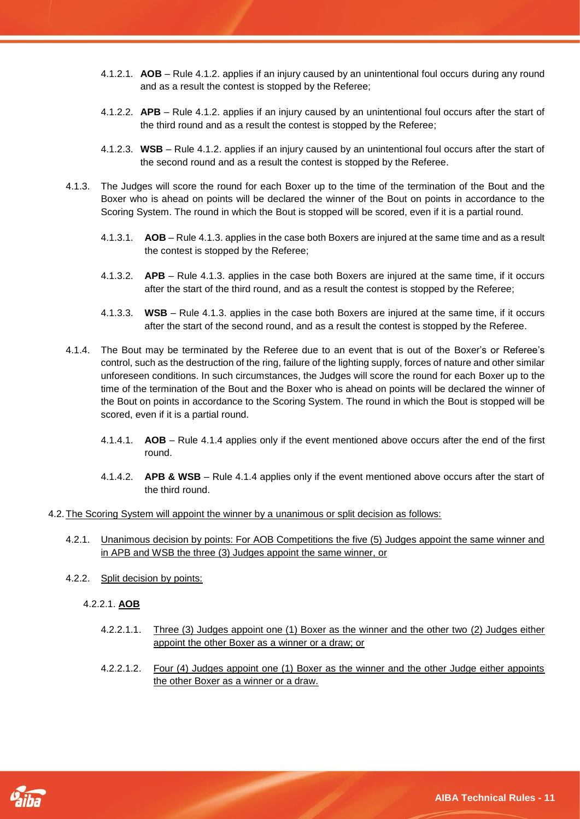- 4.1.2.1. **AOB** Rule 4.1.2. applies if an injury caused by an unintentional foul occurs during any round and as a result the contest is stopped by the Referee;
- 4.1.2.2. **APB** Rule 4.1.2. applies if an injury caused by an unintentional foul occurs after the start of the third round and as a result the contest is stopped by the Referee;
- 4.1.2.3. **WSB** Rule 4.1.2. applies if an injury caused by an unintentional foul occurs after the start of the second round and as a result the contest is stopped by the Referee.
- 4.1.3. The Judges will score the round for each Boxer up to the time of the termination of the Bout and the Boxer who is ahead on points will be declared the winner of the Bout on points in accordance to the Scoring System. The round in which the Bout is stopped will be scored, even if it is a partial round.
	- 4.1.3.1. **AOB** Rule 4.1.3. applies in the case both Boxers are injured at the same time and as a result the contest is stopped by the Referee;
	- 4.1.3.2. **APB** Rule 4.1.3. applies in the case both Boxers are injured at the same time, if it occurs after the start of the third round, and as a result the contest is stopped by the Referee;
	- 4.1.3.3. **WSB** Rule 4.1.3. applies in the case both Boxers are injured at the same time, if it occurs after the start of the second round, and as a result the contest is stopped by the Referee.
- 4.1.4. The Bout may be terminated by the Referee due to an event that is out of the Boxer's or Referee's control, such as the destruction of the ring, failure of the lighting supply, forces of nature and other similar unforeseen conditions. In such circumstances, the Judges will score the round for each Boxer up to the time of the termination of the Bout and the Boxer who is ahead on points will be declared the winner of the Bout on points in accordance to the Scoring System. The round in which the Bout is stopped will be scored, even if it is a partial round.
	- 4.1.4.1. **AOB** Rule 4.1.4 applies only if the event mentioned above occurs after the end of the first round.
	- 4.1.4.2. **APB & WSB** Rule 4.1.4 applies only if the event mentioned above occurs after the start of the third round.
- 4.2.The Scoring System will appoint the winner by a unanimous or split decision as follows:

- 4.2.1. Unanimous decision by points: For AOB Competitions the five (5) Judges appoint the same winner and in APB and WSB the three (3) Judges appoint the same winner, or
- 4.2.2. Split decision by points:
	- 4.2.2.1. **AOB**
		- 4.2.2.1.1. Three (3) Judges appoint one (1) Boxer as the winner and the other two (2) Judges either appoint the other Boxer as a winner or a draw; or
		- 4.2.2.1.2. Four (4) Judges appoint one (1) Boxer as the winner and the other Judge either appoints the other Boxer as a winner or a draw.

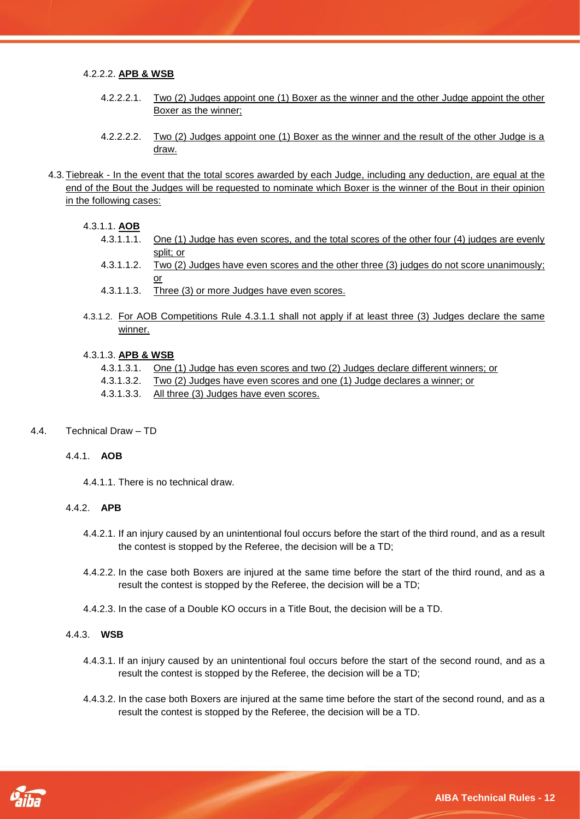#### 4.2.2.2. **APB & WSB**

- 4.2.2.2.1. Two (2) Judges appoint one (1) Boxer as the winner and the other Judge appoint the other Boxer as the winner;
- 4.2.2.2.2. Two (2) Judges appoint one (1) Boxer as the winner and the result of the other Judge is a draw.
- 4.3.Tiebreak In the event that the total scores awarded by each Judge, including any deduction, are equal at the end of the Bout the Judges will be requested to nominate which Boxer is the winner of the Bout in their opinion in the following cases:

#### 4.3.1.1. **AOB**

- 4.3.1.1.1. One (1) Judge has even scores, and the total scores of the other four (4) judges are evenly split; or
- 4.3.1.1.2. Two (2) Judges have even scores and the other three (3) judges do not score unanimously; or
- 4.3.1.1.3. Three (3) or more Judges have even scores.
- 4.3.1.2. For AOB Competitions Rule 4.3.1.1 shall not apply if at least three (3) Judges declare the same winner.

#### 4.3.1.3. **APB & WSB**

- 4.3.1.3.1. One (1) Judge has even scores and two (2) Judges declare different winners; or
- 4.3.1.3.2. Two (2) Judges have even scores and one (1) Judge declares a winner; or
- 4.3.1.3.3. All three (3) Judges have even scores.

#### 4.4. Technical Draw – TD

#### 4.4.1. **AOB**

4.4.1.1. There is no technical draw.

#### 4.4.2. **APB**

- 4.4.2.1. If an injury caused by an unintentional foul occurs before the start of the third round, and as a result the contest is stopped by the Referee, the decision will be a TD;
- 4.4.2.2. In the case both Boxers are injured at the same time before the start of the third round, and as a result the contest is stopped by the Referee, the decision will be a TD;
- 4.4.2.3. In the case of a Double KO occurs in a Title Bout, the decision will be a TD.

╱

#### 4.4.3. **WSB**

- 4.4.3.1. If an injury caused by an unintentional foul occurs before the start of the second round, and as a result the contest is stopped by the Referee, the decision will be a TD;
- 4.4.3.2. In the case both Boxers are injured at the same time before the start of the second round, and as a result the contest is stopped by the Referee, the decision will be a TD.

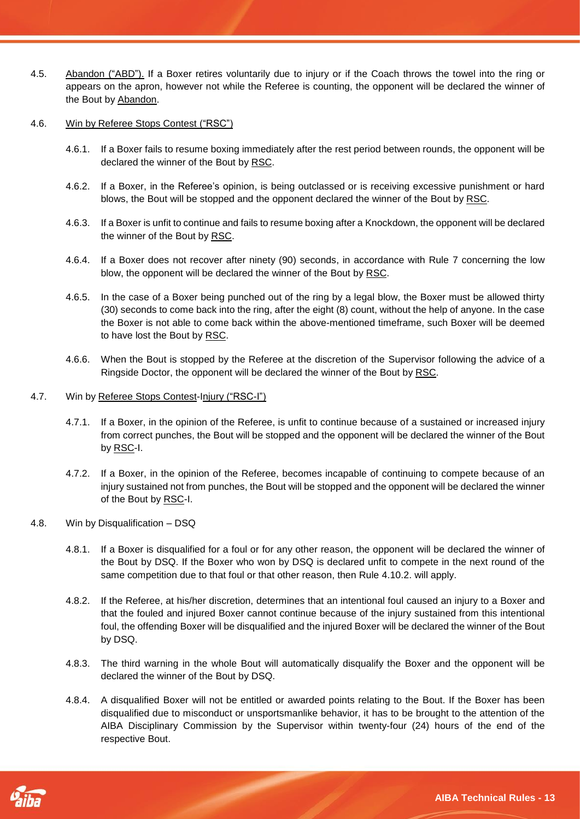- 4.5. Abandon ("ABD"). If a Boxer retires voluntarily due to injury or if the Coach throws the towel into the ring or appears on the apron, however not while the Referee is counting, the opponent will be declared the winner of the Bout by Abandon.
- 4.6. Win by Referee Stops Contest ("RSC")
	- 4.6.1. If a Boxer fails to resume boxing immediately after the rest period between rounds, the opponent will be declared the winner of the Bout by RSC.
	- 4.6.2. If a Boxer, in the Referee's opinion, is being outclassed or is receiving excessive punishment or hard blows, the Bout will be stopped and the opponent declared the winner of the Bout by RSC.
	- 4.6.3. If a Boxer is unfit to continue and fails to resume boxing after a Knockdown, the opponent will be declared the winner of the Bout by RSC.
	- 4.6.4. If a Boxer does not recover after ninety (90) seconds, in accordance with Rule 7 concerning the low blow, the opponent will be declared the winner of the Bout by RSC.
	- 4.6.5. In the case of a Boxer being punched out of the ring by a legal blow, the Boxer must be allowed thirty (30) seconds to come back into the ring, after the eight (8) count, without the help of anyone. In the case the Boxer is not able to come back within the above-mentioned timeframe, such Boxer will be deemed to have lost the Bout by RSC.
	- 4.6.6. When the Bout is stopped by the Referee at the discretion of the Supervisor following the advice of a Ringside Doctor, the opponent will be declared the winner of the Bout by RSC.
- 4.7. Win by Referee Stops Contest-Injury ("RSC-I")
	- 4.7.1. If a Boxer, in the opinion of the Referee, is unfit to continue because of a sustained or increased injury from correct punches, the Bout will be stopped and the opponent will be declared the winner of the Bout by RSC-I.
	- 4.7.2. If a Boxer, in the opinion of the Referee, becomes incapable of continuing to compete because of an injury sustained not from punches, the Bout will be stopped and the opponent will be declared the winner of the Bout by RSC-I.
- 4.8. Win by Disqualification DSQ
	- 4.8.1. If a Boxer is disqualified for a foul or for any other reason, the opponent will be declared the winner of the Bout by DSQ. If the Boxer who won by DSQ is declared unfit to compete in the next round of the same competition due to that foul or that other reason, then Rule 4.10.2. will apply.
	- 4.8.2. If the Referee, at his/her discretion, determines that an intentional foul caused an injury to a Boxer and that the fouled and injured Boxer cannot continue because of the injury sustained from this intentional foul, the offending Boxer will be disqualified and the injured Boxer will be declared the winner of the Bout by DSQ.
	- 4.8.3. The third warning in the whole Bout will automatically disqualify the Boxer and the opponent will be declared the winner of the Bout by DSQ.
	- 4.8.4. A disqualified Boxer will not be entitled or awarded points relating to the Bout. If the Boxer has been disqualified due to misconduct or unsportsmanlike behavior, it has to be brought to the attention of the AIBA Disciplinary Commission by the Supervisor within twenty-four (24) hours of the end of the respective Bout.

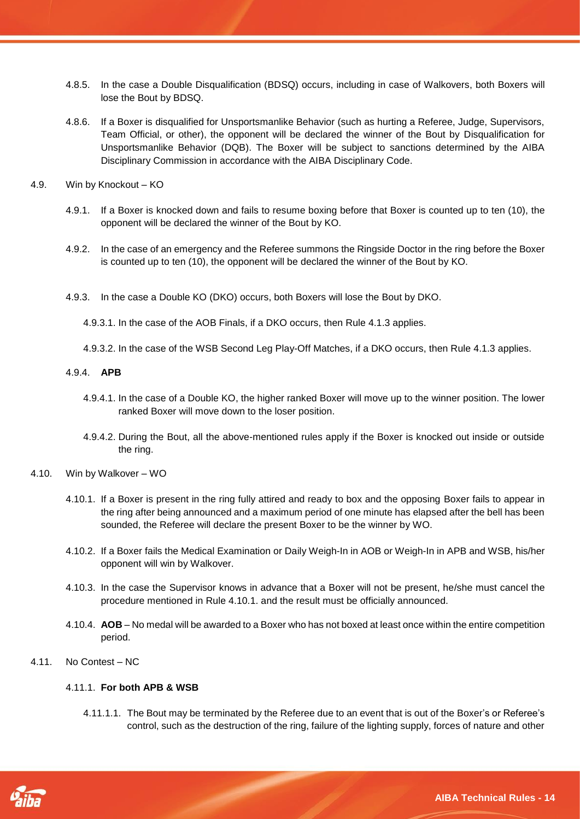- 4.8.5. In the case a Double Disqualification (BDSQ) occurs, including in case of Walkovers, both Boxers will lose the Bout by BDSQ.
- 4.8.6. If a Boxer is disqualified for Unsportsmanlike Behavior (such as hurting a Referee, Judge, Supervisors, Team Official, or other), the opponent will be declared the winner of the Bout by Disqualification for Unsportsmanlike Behavior (DQB). The Boxer will be subject to sanctions determined by the AIBA Disciplinary Commission in accordance with the AIBA Disciplinary Code.
- 4.9. Win by Knockout KO
	- 4.9.1. If a Boxer is knocked down and fails to resume boxing before that Boxer is counted up to ten (10), the opponent will be declared the winner of the Bout by KO.
	- 4.9.2. In the case of an emergency and the Referee summons the Ringside Doctor in the ring before the Boxer is counted up to ten (10), the opponent will be declared the winner of the Bout by KO.
	- 4.9.3. In the case a Double KO (DKO) occurs, both Boxers will lose the Bout by DKO.
		- 4.9.3.1. In the case of the AOB Finals, if a DKO occurs, then Rule 4.1.3 applies.
		- 4.9.3.2. In the case of the WSB Second Leg Play-Off Matches, if a DKO occurs, then Rule 4.1.3 applies.

#### 4.9.4. **APB**

- 4.9.4.1. In the case of a Double KO, the higher ranked Boxer will move up to the winner position. The lower ranked Boxer will move down to the loser position.
- 4.9.4.2. During the Bout, all the above-mentioned rules apply if the Boxer is knocked out inside or outside the ring.
- 4.10. Win by Walkover WO
	- 4.10.1. If a Boxer is present in the ring fully attired and ready to box and the opposing Boxer fails to appear in the ring after being announced and a maximum period of one minute has elapsed after the bell has been sounded, the Referee will declare the present Boxer to be the winner by WO.
	- 4.10.2. If a Boxer fails the Medical Examination or Daily Weigh-In in AOB or Weigh-In in APB and WSB, his/her opponent will win by Walkover.
	- 4.10.3. In the case the Supervisor knows in advance that a Boxer will not be present, he/she must cancel the procedure mentioned in Rule 4.10.1. and the result must be officially announced.
	- 4.10.4. **AOB** No medal will be awarded to a Boxer who has not boxed at least once within the entire competition period.
- 4.11. No Contest NC

#### 4.11.1. **For both APB & WSB**

4.11.1.1. The Bout may be terminated by the Referee due to an event that is out of the Boxer's or Referee's control, such as the destruction of the ring, failure of the lighting supply, forces of nature and other

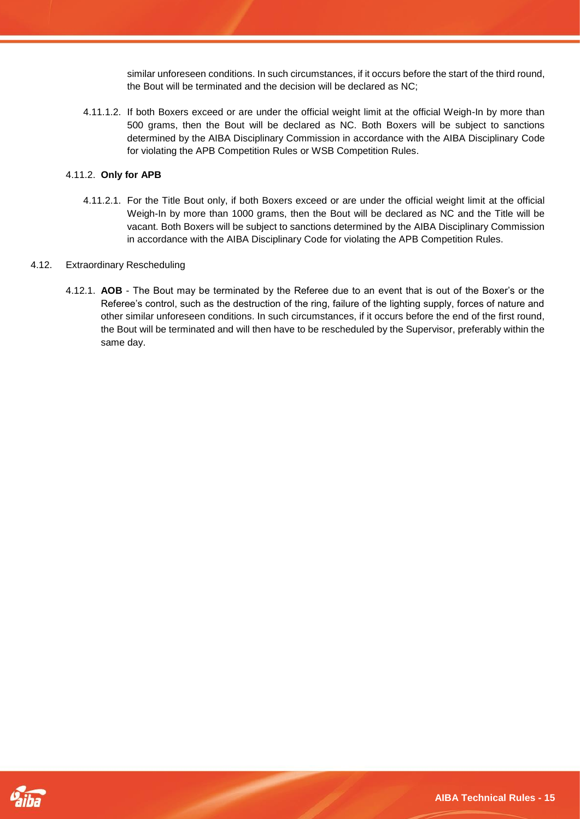similar unforeseen conditions. In such circumstances, if it occurs before the start of the third round, the Bout will be terminated and the decision will be declared as NC;

4.11.1.2. If both Boxers exceed or are under the official weight limit at the official Weigh-In by more than 500 grams, then the Bout will be declared as NC. Both Boxers will be subject to sanctions determined by the AIBA Disciplinary Commission in accordance with the AIBA Disciplinary Code for violating the APB Competition Rules or WSB Competition Rules.

#### 4.11.2. **Only for APB**

4.11.2.1. For the Title Bout only, if both Boxers exceed or are under the official weight limit at the official Weigh-In by more than 1000 grams, then the Bout will be declared as NC and the Title will be vacant. Both Boxers will be subject to sanctions determined by the AIBA Disciplinary Commission in accordance with the AIBA Disciplinary Code for violating the APB Competition Rules.

#### 4.12. Extraordinary Rescheduling

4.12.1. **AOB** - The Bout may be terminated by the Referee due to an event that is out of the Boxer's or the Referee's control, such as the destruction of the ring, failure of the lighting supply, forces of nature and other similar unforeseen conditions. In such circumstances, if it occurs before the end of the first round, the Bout will be terminated and will then have to be rescheduled by the Supervisor, preferably within the same day.

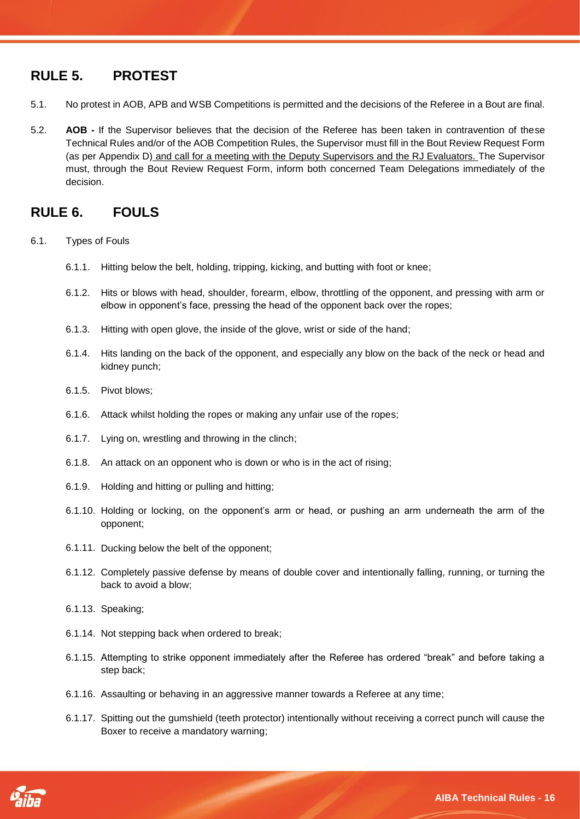# <span id="page-15-0"></span>**RULE 5. PROTEST**

- 5.1. No protest in AOB, APB and WSB Competitions is permitted and the decisions of the Referee in a Bout are final.
- 5.2. **AOB -** If the Supervisor believes that the decision of the Referee has been taken in contravention of these Technical Rules and/or of the AOB Competition Rules, the Supervisor must fill in the Bout Review Request Form (as per Appendix D) and call for a meeting with the Deputy Supervisors and the RJ Evaluators. The Supervisor must, through the Bout Review Request Form, inform both concerned Team Delegations immediately of the decision.

# <span id="page-15-1"></span>**RULE 6. FOULS**

- 6.1. Types of Fouls
	- 6.1.1. Hitting below the belt, holding, tripping, kicking, and butting with foot or knee;
	- 6.1.2. Hits or blows with head, shoulder, forearm, elbow, throttling of the opponent, and pressing with arm or elbow in opponent's face, pressing the head of the opponent back over the ropes;
	- 6.1.3. Hitting with open glove, the inside of the glove, wrist or side of the hand;
	- 6.1.4. Hits landing on the back of the opponent, and especially any blow on the back of the neck or head and kidney punch;
	- 6.1.5. Pivot blows;
	- 6.1.6. Attack whilst holding the ropes or making any unfair use of the ropes;
	- 6.1.7. Lying on, wrestling and throwing in the clinch;
	- 6.1.8. An attack on an opponent who is down or who is in the act of rising;
	- 6.1.9. Holding and hitting or pulling and hitting;
	- 6.1.10. Holding or locking, on the opponent's arm or head, or pushing an arm underneath the arm of the opponent;
	- 6.1.11. Ducking below the belt of the opponent;
	- 6.1.12. Completely passive defense by means of double cover and intentionally falling, running, or turning the back to avoid a blow;
	- 6.1.13. Speaking;
	- 6.1.14. Not stepping back when ordered to break;
	- 6.1.15. Attempting to strike opponent immediately after the Referee has ordered "break" and before taking a step back;
	- 6.1.16. Assaulting or behaving in an aggressive manner towards a Referee at any time;
	- 6.1.17. Spitting out the gumshield (teeth protector) intentionally without receiving a correct punch will cause the Boxer to receive a mandatory warning;

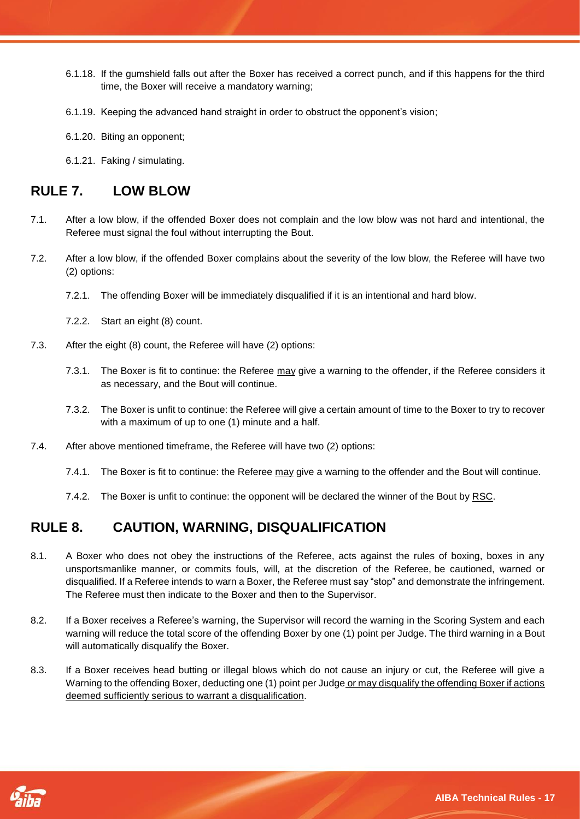- 6.1.18. If the gumshield falls out after the Boxer has received a correct punch, and if this happens for the third time, the Boxer will receive a mandatory warning;
- 6.1.19. Keeping the advanced hand straight in order to obstruct the opponent's vision;
- 6.1.20. Biting an opponent;
- 6.1.21. Faking / simulating.

# <span id="page-16-0"></span>**RULE 7. LOW BLOW**

- 7.1. After a low blow, if the offended Boxer does not complain and the low blow was not hard and intentional, the Referee must signal the foul without interrupting the Bout.
- 7.2. After a low blow, if the offended Boxer complains about the severity of the low blow, the Referee will have two (2) options:
	- 7.2.1. The offending Boxer will be immediately disqualified if it is an intentional and hard blow.
	- 7.2.2. Start an eight (8) count.
- 7.3. After the eight (8) count, the Referee will have (2) options:
	- 7.3.1. The Boxer is fit to continue: the Referee may give a warning to the offender, if the Referee considers it as necessary, and the Bout will continue.
	- 7.3.2. The Boxer is unfit to continue: the Referee will give a certain amount of time to the Boxer to try to recover with a maximum of up to one (1) minute and a half.
- 7.4. After above mentioned timeframe, the Referee will have two (2) options:
	- 7.4.1. The Boxer is fit to continue: the Referee may give a warning to the offender and the Bout will continue.
	- 7.4.2. The Boxer is unfit to continue: the opponent will be declared the winner of the Bout by RSC.

# <span id="page-16-1"></span>**RULE 8. CAUTION, WARNING, DISQUALIFICATION**

- 8.1. A Boxer who does not obey the instructions of the Referee, acts against the rules of boxing, boxes in any unsportsmanlike manner, or commits fouls, will, at the discretion of the Referee, be cautioned, warned or disqualified. If a Referee intends to warn a Boxer, the Referee must say "stop" and demonstrate the infringement. The Referee must then indicate to the Boxer and then to the Supervisor.
- 8.2. If a Boxer receives a Referee's warning, the Supervisor will record the warning in the Scoring System and each warning will reduce the total score of the offending Boxer by one (1) point per Judge. The third warning in a Bout will automatically disqualify the Boxer.
- 8.3. If a Boxer receives head butting or illegal blows which do not cause an injury or cut, the Referee will give a Warning to the offending Boxer, deducting one (1) point per Judge or may disqualify the offending Boxer if actions deemed sufficiently serious to warrant a disqualification.

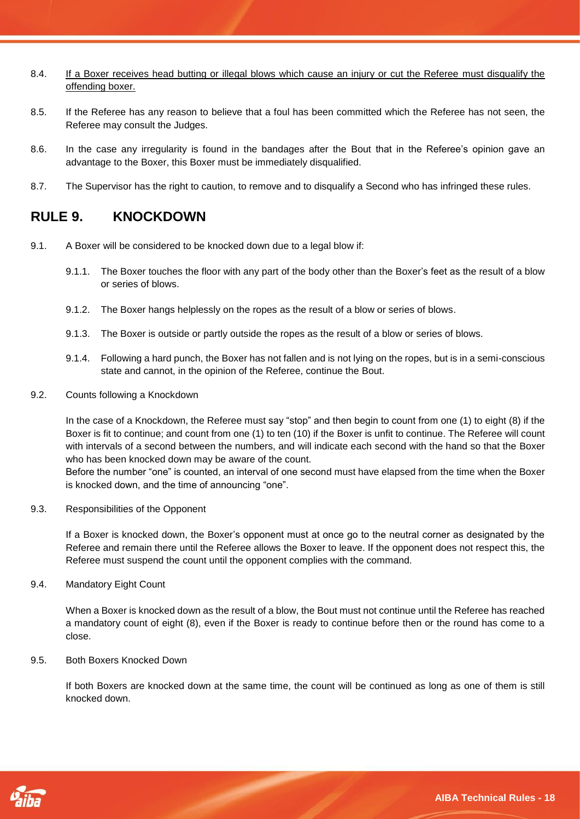- 8.4. If a Boxer receives head butting or illegal blows which cause an injury or cut the Referee must disqualify the offending boxer.
- 8.5. If the Referee has any reason to believe that a foul has been committed which the Referee has not seen, the Referee may consult the Judges.
- 8.6. In the case any irregularity is found in the bandages after the Bout that in the Referee's opinion gave an advantage to the Boxer, this Boxer must be immediately disqualified.
- 8.7. The Supervisor has the right to caution, to remove and to disqualify a Second who has infringed these rules.

## <span id="page-17-0"></span>**RULE 9. KNOCKDOWN**

- 9.1. A Boxer will be considered to be knocked down due to a legal blow if:
	- 9.1.1. The Boxer touches the floor with any part of the body other than the Boxer's feet as the result of a blow or series of blows.
	- 9.1.2. The Boxer hangs helplessly on the ropes as the result of a blow or series of blows.
	- 9.1.3. The Boxer is outside or partly outside the ropes as the result of a blow or series of blows.
	- 9.1.4. Following a hard punch, the Boxer has not fallen and is not lying on the ropes, but is in a semi-conscious state and cannot, in the opinion of the Referee, continue the Bout.
- 9.2. Counts following a Knockdown

In the case of a Knockdown, the Referee must say "stop" and then begin to count from one (1) to eight (8) if the Boxer is fit to continue; and count from one (1) to ten (10) if the Boxer is unfit to continue. The Referee will count with intervals of a second between the numbers, and will indicate each second with the hand so that the Boxer who has been knocked down may be aware of the count.

Before the number "one" is counted, an interval of one second must have elapsed from the time when the Boxer is knocked down, and the time of announcing "one".

9.3. Responsibilities of the Opponent

If a Boxer is knocked down, the Boxer's opponent must at once go to the neutral corner as designated by the Referee and remain there until the Referee allows the Boxer to leave. If the opponent does not respect this, the Referee must suspend the count until the opponent complies with the command.

9.4. Mandatory Eight Count

When a Boxer is knocked down as the result of a blow, the Bout must not continue until the Referee has reached a mandatory count of eight (8), even if the Boxer is ready to continue before then or the round has come to a close.

9.5. Both Boxers Knocked Down

If both Boxers are knocked down at the same time, the count will be continued as long as one of them is still knocked down.

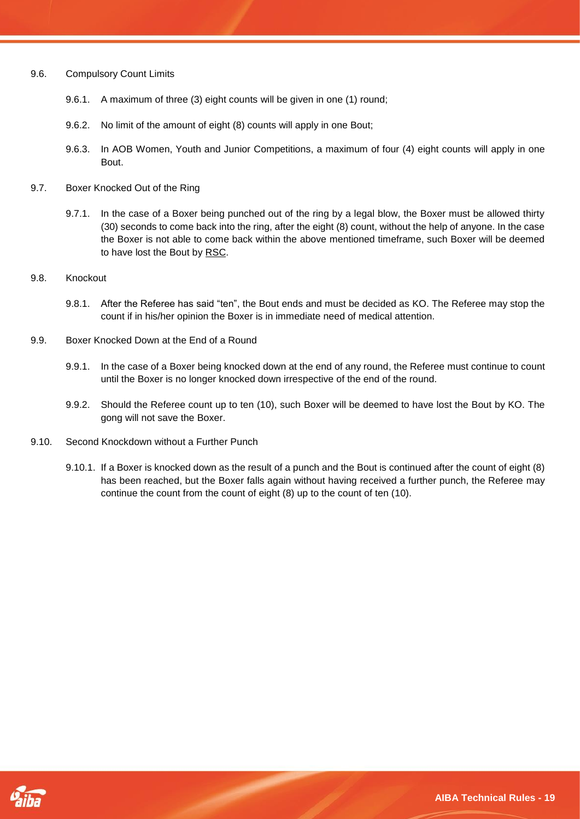- 9.6. Compulsory Count Limits
	- 9.6.1. A maximum of three (3) eight counts will be given in one (1) round;
	- 9.6.2. No limit of the amount of eight (8) counts will apply in one Bout;
	- 9.6.3. In AOB Women, Youth and Junior Competitions, a maximum of four (4) eight counts will apply in one Bout.
- 9.7. Boxer Knocked Out of the Ring
	- 9.7.1. In the case of a Boxer being punched out of the ring by a legal blow, the Boxer must be allowed thirty (30) seconds to come back into the ring, after the eight (8) count, without the help of anyone. In the case the Boxer is not able to come back within the above mentioned timeframe, such Boxer will be deemed to have lost the Bout by RSC.
- 9.8. Knockout
	- 9.8.1. After the Referee has said "ten", the Bout ends and must be decided as KO. The Referee may stop the count if in his/her opinion the Boxer is in immediate need of medical attention.
- 9.9. Boxer Knocked Down at the End of a Round
	- 9.9.1. In the case of a Boxer being knocked down at the end of any round, the Referee must continue to count until the Boxer is no longer knocked down irrespective of the end of the round.
	- 9.9.2. Should the Referee count up to ten (10), such Boxer will be deemed to have lost the Bout by KO. The gong will not save the Boxer.
- 9.10. Second Knockdown without a Further Punch
	- 9.10.1. If a Boxer is knocked down as the result of a punch and the Bout is continued after the count of eight (8) has been reached, but the Boxer falls again without having received a further punch, the Referee may continue the count from the count of eight (8) up to the count of ten (10).

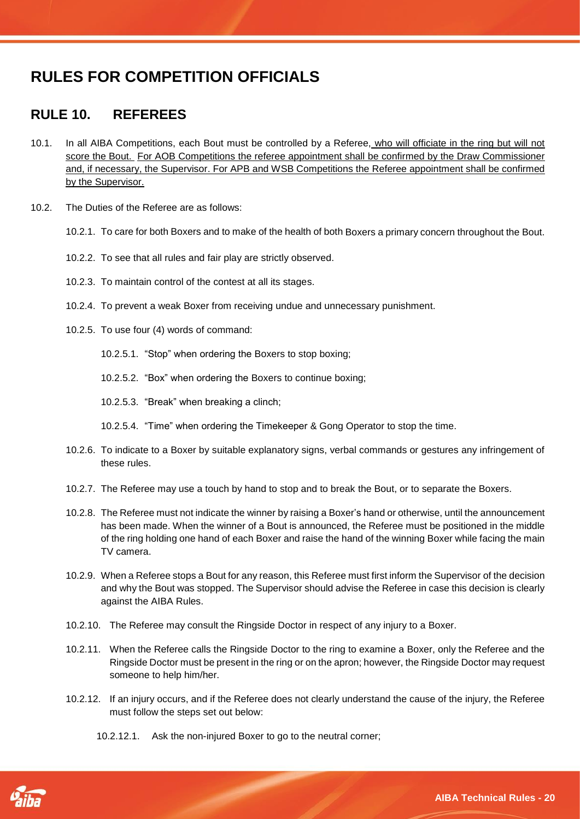# **RULES FOR COMPETITION OFFICIALS**

# <span id="page-19-0"></span>**RULE 10. REFEREES**

- 10.1. In all AIBA Competitions, each Bout must be controlled by a Referee, who will officiate in the ring but will not score the Bout. For AOB Competitions the referee appointment shall be confirmed by the Draw Commissioner and, if necessary, the Supervisor. For APB and WSB Competitions the Referee appointment shall be confirmed by the Supervisor.
- 10.2. The Duties of the Referee are as follows:
	- 10.2.1. To care for both Boxers and to make of the health of both Boxers a primary concern throughout the Bout.
	- 10.2.2. To see that all rules and fair play are strictly observed.
	- 10.2.3. To maintain control of the contest at all its stages.
	- 10.2.4. To prevent a weak Boxer from receiving undue and unnecessary punishment.
	- 10.2.5. To use four (4) words of command:
		- 10.2.5.1. "Stop" when ordering the Boxers to stop boxing;
		- 10.2.5.2. "Box" when ordering the Boxers to continue boxing;
		- 10.2.5.3. "Break" when breaking a clinch;
		- 10.2.5.4. "Time" when ordering the Timekeeper & Gong Operator to stop the time.
	- 10.2.6. To indicate to a Boxer by suitable explanatory signs, verbal commands or gestures any infringement of these rules.
	- 10.2.7. The Referee may use a touch by hand to stop and to break the Bout, or to separate the Boxers.
	- 10.2.8. The Referee must not indicate the winner by raising a Boxer's hand or otherwise, until the announcement has been made. When the winner of a Bout is announced, the Referee must be positioned in the middle of the ring holding one hand of each Boxer and raise the hand of the winning Boxer while facing the main TV camera.
	- 10.2.9. When a Referee stops a Bout for any reason, this Referee must first inform the Supervisor of the decision and why the Bout was stopped. The Supervisor should advise the Referee in case this decision is clearly against the AIBA Rules.
	- 10.2.10. The Referee may consult the Ringside Doctor in respect of any injury to a Boxer.
	- 10.2.11. When the Referee calls the Ringside Doctor to the ring to examine a Boxer, only the Referee and the Ringside Doctor must be present in the ring or on the apron; however, the Ringside Doctor may request someone to help him/her.
	- 10.2.12. If an injury occurs, and if the Referee does not clearly understand the cause of the injury, the Referee must follow the steps set out below:
		- 10.2.12.1. Ask the non-injured Boxer to go to the neutral corner;

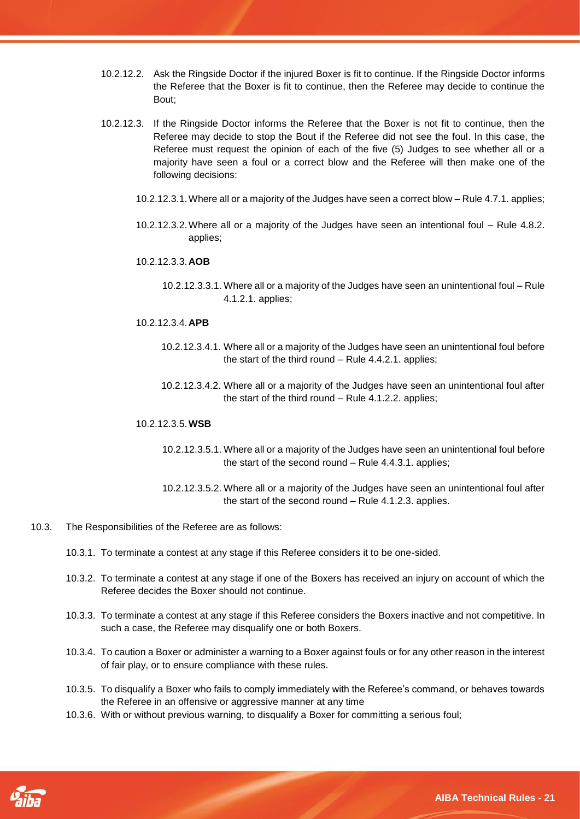- 10.2.12.2. Ask the Ringside Doctor if the injured Boxer is fit to continue. If the Ringside Doctor informs the Referee that the Boxer is fit to continue, then the Referee may decide to continue the Bout;
- 10.2.12.3. If the Ringside Doctor informs the Referee that the Boxer is not fit to continue, then the Referee may decide to stop the Bout if the Referee did not see the foul. In this case, the Referee must request the opinion of each of the five (5) Judges to see whether all or a majority have seen a foul or a correct blow and the Referee will then make one of the following decisions:
	- 10.2.12.3.1.Where all or a majority of the Judges have seen a correct blow Rule 4.7.1. applies;
	- 10.2.12.3.2.Where all or a majority of the Judges have seen an intentional foul Rule 4.8.2. applies;
	- 10.2.12.3.3.**AOB**
		- 10.2.12.3.3.1. Where all or a majority of the Judges have seen an unintentional foul Rule 4.1.2.1. applies;
	- 10.2.12.3.4.**APB**
		- 10.2.12.3.4.1. Where all or a majority of the Judges have seen an unintentional foul before the start of the third round – Rule 4.4.2.1. applies;
		- 10.2.12.3.4.2. Where all or a majority of the Judges have seen an unintentional foul after the start of the third round – Rule 4.1.2.2. applies;

#### 10.2.12.3.5.**WSB**

- 10.2.12.3.5.1. Where all or a majority of the Judges have seen an unintentional foul before the start of the second round – Rule 4.4.3.1. applies;
- 10.2.12.3.5.2. Where all or a majority of the Judges have seen an unintentional foul after the start of the second round – Rule 4.1.2.3. applies.
- 10.3. The Responsibilities of the Referee are as follows:
	- 10.3.1. To terminate a contest at any stage if this Referee considers it to be one-sided.
	- 10.3.2. To terminate a contest at any stage if one of the Boxers has received an injury on account of which the Referee decides the Boxer should not continue.
	- 10.3.3. To terminate a contest at any stage if this Referee considers the Boxers inactive and not competitive. In such a case, the Referee may disqualify one or both Boxers.
	- 10.3.4. To caution a Boxer or administer a warning to a Boxer against fouls or for any other reason in the interest of fair play, or to ensure compliance with these rules.
	- 10.3.5. To disqualify a Boxer who fails to comply immediately with the Referee's command, or behaves towards the Referee in an offensive or aggressive manner at any time
	- 10.3.6. With or without previous warning, to disqualify a Boxer for committing a serious foul;

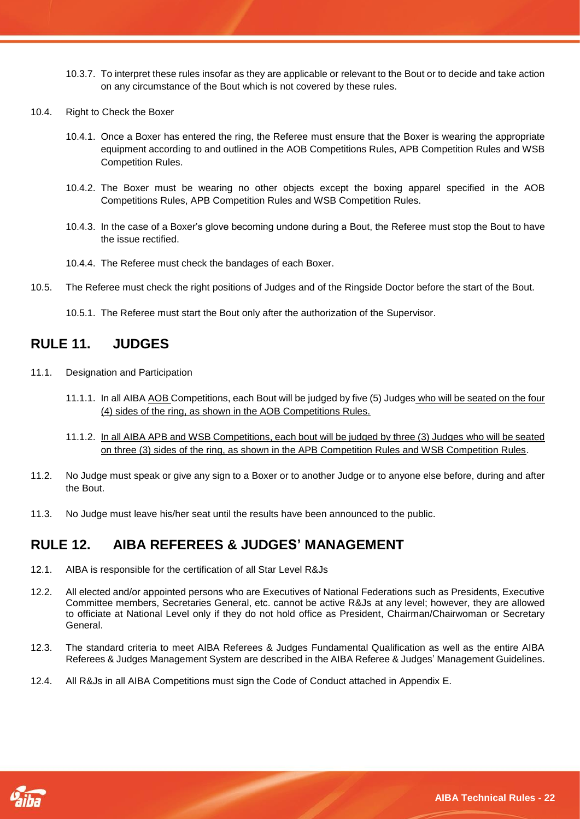- 10.3.7. To interpret these rules insofar as they are applicable or relevant to the Bout or to decide and take action on any circumstance of the Bout which is not covered by these rules.
- 10.4. Right to Check the Boxer
	- 10.4.1. Once a Boxer has entered the ring, the Referee must ensure that the Boxer is wearing the appropriate equipment according to and outlined in the AOB Competitions Rules, APB Competition Rules and WSB Competition Rules.
	- 10.4.2. The Boxer must be wearing no other objects except the boxing apparel specified in the AOB Competitions Rules, APB Competition Rules and WSB Competition Rules.
	- 10.4.3. In the case of a Boxer's glove becoming undone during a Bout, the Referee must stop the Bout to have the issue rectified.
	- 10.4.4. The Referee must check the bandages of each Boxer.
- 10.5. The Referee must check the right positions of Judges and of the Ringside Doctor before the start of the Bout.
	- 10.5.1. The Referee must start the Bout only after the authorization of the Supervisor.

# <span id="page-21-0"></span>**RULE 11. JUDGES**

- 11.1. Designation and Participation
	- 11.1.1. In all AIBA AOB Competitions, each Bout will be judged by five (5) Judges who will be seated on the four (4) sides of the ring, as shown in the AOB Competitions Rules.
	- 11.1.2. In all AIBA APB and WSB Competitions, each bout will be judged by three (3) Judges who will be seated on three (3) sides of the ring, as shown in the APB Competition Rules and WSB Competition Rules.
- 11.2. No Judge must speak or give any sign to a Boxer or to another Judge or to anyone else before, during and after the Bout.
- 11.3. No Judge must leave his/her seat until the results have been announced to the public.

# <span id="page-21-1"></span>**RULE 12. AIBA REFEREES & JUDGES' MANAGEMENT**

- 12.1. AIBA is responsible for the certification of all Star Level R&Js
- 12.2. All elected and/or appointed persons who are Executives of National Federations such as Presidents, Executive Committee members, Secretaries General, etc. cannot be active R&Js at any level; however, they are allowed to officiate at National Level only if they do not hold office as President, Chairman/Chairwoman or Secretary General.
- 12.3. The standard criteria to meet AIBA Referees & Judges Fundamental Qualification as well as the entire AIBA Referees & Judges Management System are described in the AIBA Referee & Judges' Management Guidelines.
- 12.4. All R&Js in all AIBA Competitions must sign the Code of Conduct attached in Appendix E.

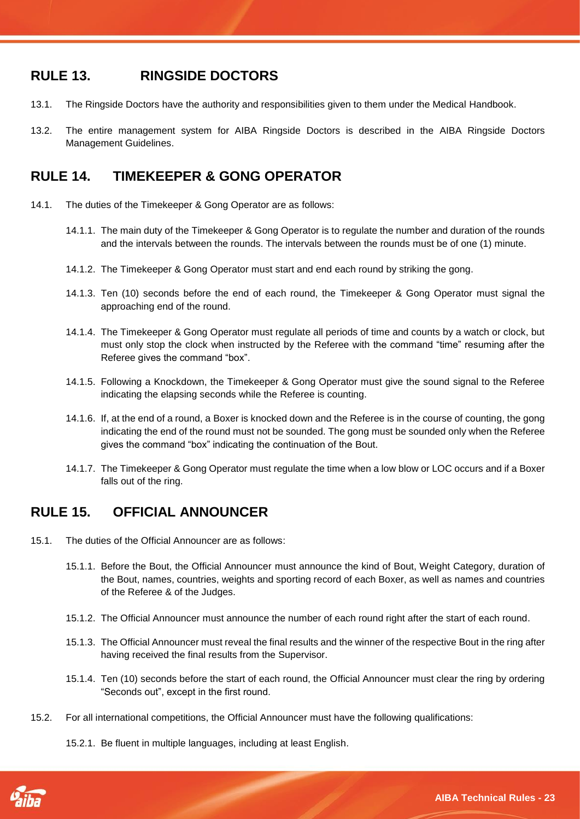## <span id="page-22-0"></span>**RULE 13. RINGSIDE DOCTORS**

- 13.1. The Ringside Doctors have the authority and responsibilities given to them under the Medical Handbook.
- 13.2. The entire management system for AIBA Ringside Doctors is described in the AIBA Ringside Doctors Management Guidelines.

# <span id="page-22-1"></span>**RULE 14. TIMEKEEPER & GONG OPERATOR**

- 14.1. The duties of the Timekeeper & Gong Operator are as follows:
	- 14.1.1. The main duty of the Timekeeper & Gong Operator is to regulate the number and duration of the rounds and the intervals between the rounds. The intervals between the rounds must be of one (1) minute.
	- 14.1.2. The Timekeeper & Gong Operator must start and end each round by striking the gong.
	- 14.1.3. Ten (10) seconds before the end of each round, the Timekeeper & Gong Operator must signal the approaching end of the round.
	- 14.1.4. The Timekeeper & Gong Operator must regulate all periods of time and counts by a watch or clock, but must only stop the clock when instructed by the Referee with the command "time" resuming after the Referee gives the command "box".
	- 14.1.5. Following a Knockdown, the Timekeeper & Gong Operator must give the sound signal to the Referee indicating the elapsing seconds while the Referee is counting.
	- 14.1.6. If, at the end of a round, a Boxer is knocked down and the Referee is in the course of counting, the gong indicating the end of the round must not be sounded. The gong must be sounded only when the Referee gives the command "box" indicating the continuation of the Bout.
	- 14.1.7. The Timekeeper & Gong Operator must regulate the time when a low blow or LOC occurs and if a Boxer falls out of the ring.

# <span id="page-22-2"></span>**RULE 15. OFFICIAL ANNOUNCER**

- 15.1. The duties of the Official Announcer are as follows:
	- 15.1.1. Before the Bout, the Official Announcer must announce the kind of Bout, Weight Category, duration of the Bout, names, countries, weights and sporting record of each Boxer, as well as names and countries of the Referee & of the Judges.
	- 15.1.2. The Official Announcer must announce the number of each round right after the start of each round.
	- 15.1.3. The Official Announcer must reveal the final results and the winner of the respective Bout in the ring after having received the final results from the Supervisor.
	- 15.1.4. Ten (10) seconds before the start of each round, the Official Announcer must clear the ring by ordering "Seconds out", except in the first round.
- 15.2. For all international competitions, the Official Announcer must have the following qualifications:
	- 15.2.1. Be fluent in multiple languages, including at least English.

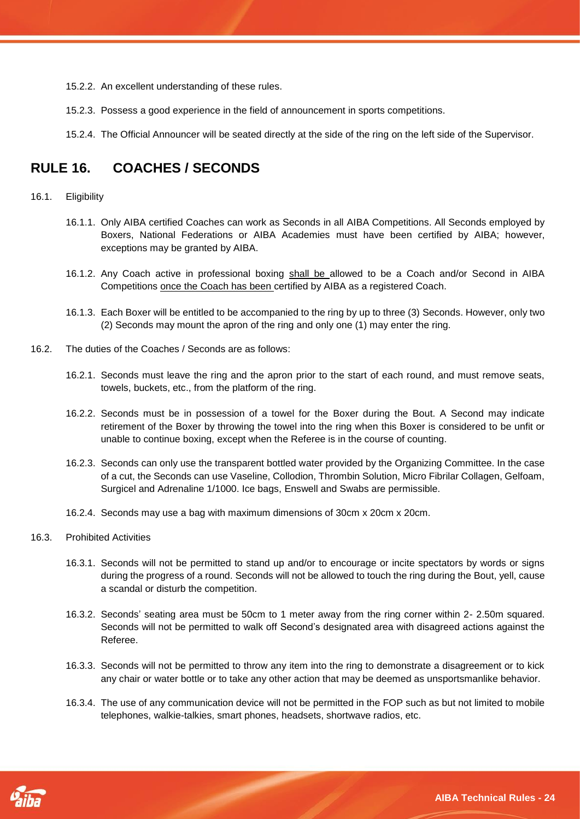- 15.2.2. An excellent understanding of these rules.
- 15.2.3. Possess a good experience in the field of announcement in sports competitions.
- 15.2.4. The Official Announcer will be seated directly at the side of the ring on the left side of the Supervisor.

# <span id="page-23-0"></span>**RULE 16. COACHES / SECONDS**

#### 16.1. Eligibility

- 16.1.1. Only AIBA certified Coaches can work as Seconds in all AIBA Competitions. All Seconds employed by Boxers, National Federations or AIBA Academies must have been certified by AIBA; however, exceptions may be granted by AIBA.
- 16.1.2. Any Coach active in professional boxing shall be allowed to be a Coach and/or Second in AIBA Competitions once the Coach has been certified by AIBA as a registered Coach.
- 16.1.3. Each Boxer will be entitled to be accompanied to the ring by up to three (3) Seconds. However, only two (2) Seconds may mount the apron of the ring and only one (1) may enter the ring.
- 16.2. The duties of the Coaches / Seconds are as follows:
	- 16.2.1. Seconds must leave the ring and the apron prior to the start of each round, and must remove seats, towels, buckets, etc., from the platform of the ring.
	- 16.2.2. Seconds must be in possession of a towel for the Boxer during the Bout. A Second may indicate retirement of the Boxer by throwing the towel into the ring when this Boxer is considered to be unfit or unable to continue boxing, except when the Referee is in the course of counting.
	- 16.2.3. Seconds can only use the transparent bottled water provided by the Organizing Committee. In the case of a cut, the Seconds can use Vaseline, Collodion, Thrombin Solution, Micro Fibrilar Collagen, Gelfoam, Surgicel and Adrenaline 1/1000. Ice bags, Enswell and Swabs are permissible.
	- 16.2.4. Seconds may use a bag with maximum dimensions of 30cm x 20cm x 20cm.

- 16.3. Prohibited Activities
	- 16.3.1. Seconds will not be permitted to stand up and/or to encourage or incite spectators by words or signs during the progress of a round. Seconds will not be allowed to touch the ring during the Bout, yell, cause a scandal or disturb the competition.
	- 16.3.2. Seconds' seating area must be 50cm to 1 meter away from the ring corner within 2- 2.50m squared. Seconds will not be permitted to walk off Second's designated area with disagreed actions against the Referee.
	- 16.3.3. Seconds will not be permitted to throw any item into the ring to demonstrate a disagreement or to kick any chair or water bottle or to take any other action that may be deemed as unsportsmanlike behavior.
	- 16.3.4. The use of any communication device will not be permitted in the FOP such as but not limited to mobile telephones, walkie-talkies, smart phones, headsets, shortwave radios, etc.

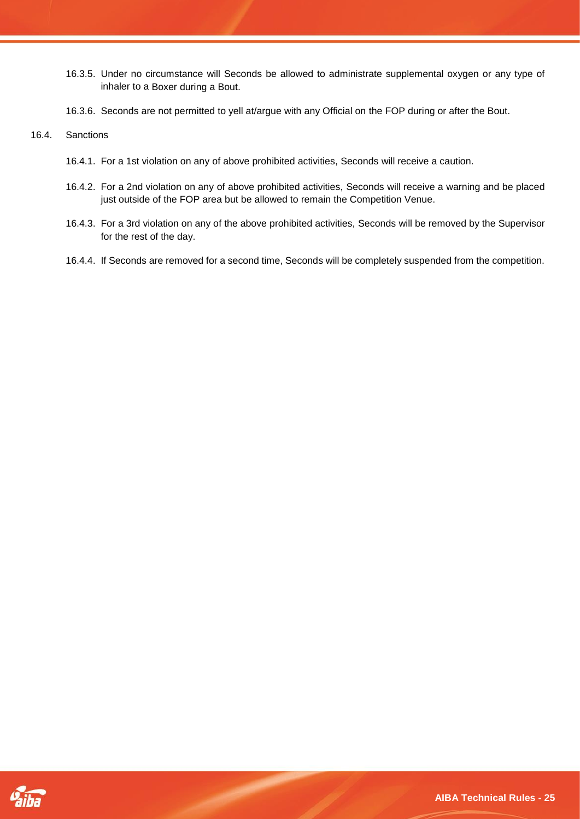- 16.3.5. Under no circumstance will Seconds be allowed to administrate supplemental oxygen or any type of inhaler to a Boxer during a Bout.
- 16.3.6. Seconds are not permitted to yell at/argue with any Official on the FOP during or after the Bout.

#### 16.4. Sanctions

- 16.4.1. For a 1st violation on any of above prohibited activities, Seconds will receive a caution.
- 16.4.2. For a 2nd violation on any of above prohibited activities, Seconds will receive a warning and be placed just outside of the FOP area but be allowed to remain the Competition Venue.
- 16.4.3. For a 3rd violation on any of the above prohibited activities, Seconds will be removed by the Supervisor for the rest of the day.
- 16.4.4. If Seconds are removed for a second time, Seconds will be completely suspended from the competition.

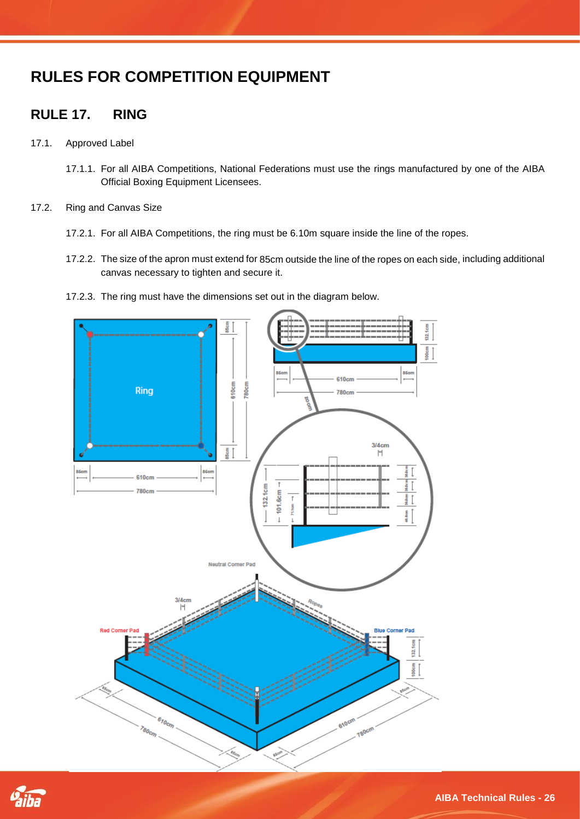# <span id="page-25-0"></span>**RULES FOR COMPETITION EQUIPMENT**

# <span id="page-25-1"></span>**RULE 17. RING**

- 17.1. Approved Label
	- 17.1.1. For all AIBA Competitions, National Federations must use the rings manufactured by one of the AIBA Official Boxing Equipment Licensees.
- 17.2. Ring and Canvas Size
	- 17.2.1. For all AIBA Competitions, the ring must be 6.10m square inside the line of the ropes.
	- 17.2.2. The size of the apron must extend for 85cm outside the line of the ropes on each side, including additional canvas necessary to tighten and secure it.
	- 17.2.3. The ring must have the dimensions set out in the diagram below.



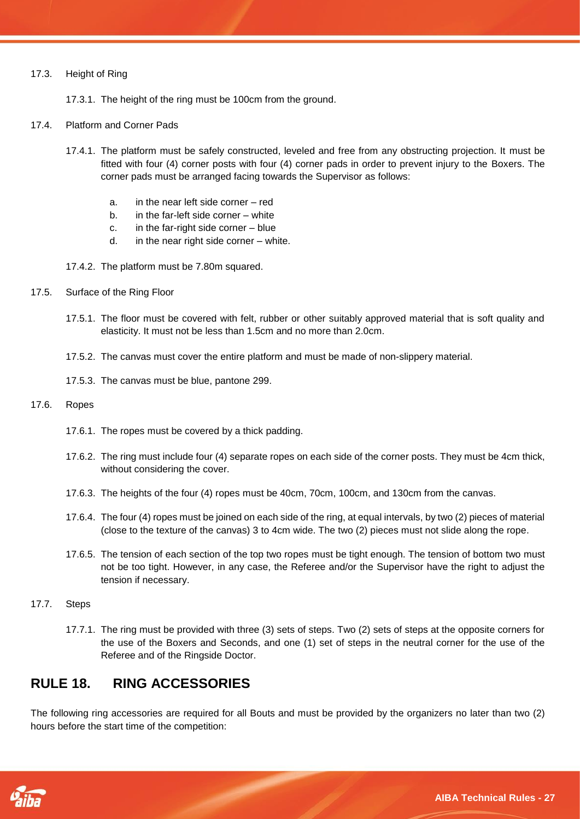#### 17.3. Height of Ring

17.3.1. The height of the ring must be 100cm from the ground.

- 17.4. Platform and Corner Pads
	- 17.4.1. The platform must be safely constructed, leveled and free from any obstructing projection. It must be fitted with four (4) corner posts with four (4) corner pads in order to prevent injury to the Boxers. The corner pads must be arranged facing towards the Supervisor as follows:
		- a. in the near left side corner red
		- b. in the far-left side corner white
		- c. in the far-right side corner blue
		- d. in the near right side corner white.
	- 17.4.2. The platform must be 7.80m squared.
- 17.5. Surface of the Ring Floor
	- 17.5.1. The floor must be covered with felt, rubber or other suitably approved material that is soft quality and elasticity. It must not be less than 1.5cm and no more than 2.0cm.
	- 17.5.2. The canvas must cover the entire platform and must be made of non-slippery material.
	- 17.5.3. The canvas must be blue, pantone 299.

#### 17.6. Ropes

- 17.6.1. The ropes must be covered by a thick padding.
- 17.6.2. The ring must include four (4) separate ropes on each side of the corner posts. They must be 4cm thick, without considering the cover.
- 17.6.3. The heights of the four (4) ropes must be 40cm, 70cm, 100cm, and 130cm from the canvas.
- 17.6.4. The four (4) ropes must be joined on each side of the ring, at equal intervals, by two (2) pieces of material (close to the texture of the canvas) 3 to 4cm wide. The two (2) pieces must not slide along the rope.
- 17.6.5. The tension of each section of the top two ropes must be tight enough. The tension of bottom two must not be too tight. However, in any case, the Referee and/or the Supervisor have the right to adjust the tension if necessary.

#### 17.7. Steps

17.7.1. The ring must be provided with three (3) sets of steps. Two (2) sets of steps at the opposite corners for the use of the Boxers and Seconds, and one (1) set of steps in the neutral corner for the use of the Referee and of the Ringside Doctor.

## <span id="page-26-0"></span>**RULE 18. RING ACCESSORIES**

The following ring accessories are required for all Bouts and must be provided by the organizers no later than two (2) hours before the start time of the competition:

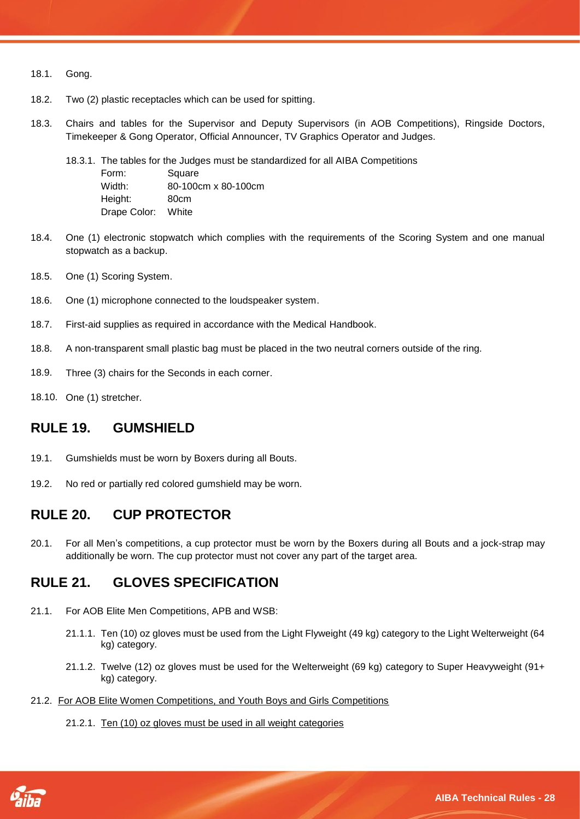- 18.1. Gong.
- 18.2. Two (2) plastic receptacles which can be used for spitting.
- 18.3. Chairs and tables for the Supervisor and Deputy Supervisors (in AOB Competitions), Ringside Doctors, Timekeeper & Gong Operator, Official Announcer, TV Graphics Operator and Judges.
	- 18.3.1. The tables for the Judges must be standardized for all AIBA Competitions Form: Square Width: 80-100cm x 80-100cm Height: 80cm Drape Color: White
- 18.4. One (1) electronic stopwatch which complies with the requirements of the Scoring System and one manual stopwatch as a backup.
- 18.5. One (1) Scoring System.
- 18.6. One (1) microphone connected to the loudspeaker system.
- 18.7. First-aid supplies as required in accordance with the Medical Handbook.
- 18.8. A non-transparent small plastic bag must be placed in the two neutral corners outside of the ring.
- 18.9. Three (3) chairs for the Seconds in each corner.
- 18.10. One (1) stretcher.

### <span id="page-27-0"></span>**RULE 19. GUMSHIELD**

- 19.1. Gumshields must be worn by Boxers during all Bouts.
- 19.2. No red or partially red colored gumshield may be worn.

## <span id="page-27-1"></span>**RULE 20. CUP PROTECTOR**

20.1. For all Men's competitions, a cup protector must be worn by the Boxers during all Bouts and a jock-strap may additionally be worn. The cup protector must not cover any part of the target area.

## <span id="page-27-2"></span>**RULE 21. GLOVES SPECIFICATION**

- 21.1. For AOB Elite Men Competitions, APB and WSB:
	- 21.1.1. Ten (10) oz gloves must be used from the Light Flyweight (49 kg) category to the Light Welterweight (64 kg) category.
	- 21.1.2. Twelve (12) oz gloves must be used for the Welterweight (69 kg) category to Super Heavyweight (91+ kg) category.
- 21.2. For AOB Elite Women Competitions, and Youth Boys and Girls Competitions
	- 21.2.1. Ten (10) oz gloves must be used in all weight categories

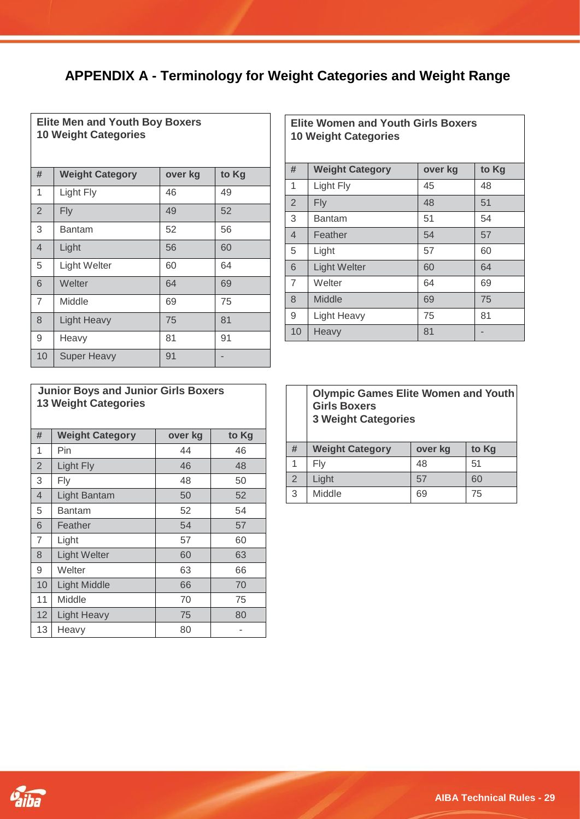# <span id="page-28-0"></span>**APPENDIX A - Terminology for Weight Categories and Weight Range**

 $\overline{\phantom{a}}$ 

| <b>Elite Men and Youth Boy Boxers</b><br><b>10 Weight Categories</b> |                        |         |       |
|----------------------------------------------------------------------|------------------------|---------|-------|
| #                                                                    | <b>Weight Category</b> | over kg | to Kg |
| 1                                                                    | Light Fly              | 46      | 49    |
| $\overline{2}$                                                       | Fly                    | 49      | 52    |
| 3                                                                    | <b>Bantam</b>          | 52      | 56    |
| $\overline{4}$                                                       | Light                  | 56      | 60    |
| 5                                                                    | Light Welter           | 60      | 64    |
| 6                                                                    | Welter                 | 64      | 69    |
| $\overline{7}$                                                       | Middle                 | 69      | 75    |
| 8                                                                    | <b>Light Heavy</b>     | 75      | 81    |
| 9                                                                    | Heavy                  | 81      | 91    |
| 10                                                                   | <b>Super Heavy</b>     | 91      |       |

| <b>Elite Women and Youth Girls Boxers</b><br><b>10 Weight Categories</b> |                        |         |       |
|--------------------------------------------------------------------------|------------------------|---------|-------|
| #                                                                        | <b>Weight Category</b> | over kg | to Kg |
| 1                                                                        | Light Fly              | 45      | 48    |
| 2                                                                        | Fly                    | 48      | 51    |
| 3                                                                        | Bantam                 | 51      | 54    |
| $\overline{4}$                                                           | Feather                | 54      | 57    |
| 5                                                                        | Light                  | 57      | 60    |
| 6                                                                        | <b>Light Welter</b>    | 60      | 64    |
| $\overline{7}$                                                           | Welter                 | 64      | 69    |
| 8                                                                        | Middle                 | 69      | 75    |
| 9                                                                        | Light Heavy            | 75      | 81    |
| 10                                                                       | Heavy                  | 81      |       |

| <b>Junior Boys and Junior Girls Boxers</b> |  |
|--------------------------------------------|--|
| <b>13 Weight Categories</b>                |  |

| #              | <b>Weight Category</b> | over kg | to Kg |
|----------------|------------------------|---------|-------|
| 1              | Pin                    | 44      | 46    |
| $\overline{2}$ | Light Fly              | 46      | 48    |
| 3              | Fly                    | 48      | 50    |
| $\overline{4}$ | <b>Light Bantam</b>    | 50      | 52    |
| 5              | Bantam                 | 52      | 54    |
| 6              | Feather                | 54      | 57    |
| $\overline{7}$ | Light                  | 57      | 60    |
| 8              | <b>Light Welter</b>    | 60      | 63    |
| 9              | Welter                 | 63      | 66    |
| 10             | <b>Light Middle</b>    | 66      | 70    |
| 11             | Middle                 | 70      | 75    |
| 12             | <b>Light Heavy</b>     | 75      | 80    |
| 13             | Heavy                  | 80      |       |

|                | <b>Olympic Games Elite Women and Youth</b><br><b>Girls Boxers</b><br><b>3 Weight Categories</b> |         |       |
|----------------|-------------------------------------------------------------------------------------------------|---------|-------|
| #              | <b>Weight Category</b>                                                                          | over kg | to Kg |
|                | Fly                                                                                             | 48      | 51    |
| $\overline{2}$ | Light                                                                                           | 57      | 60    |
| 3              | Middle                                                                                          | 69      | 75    |

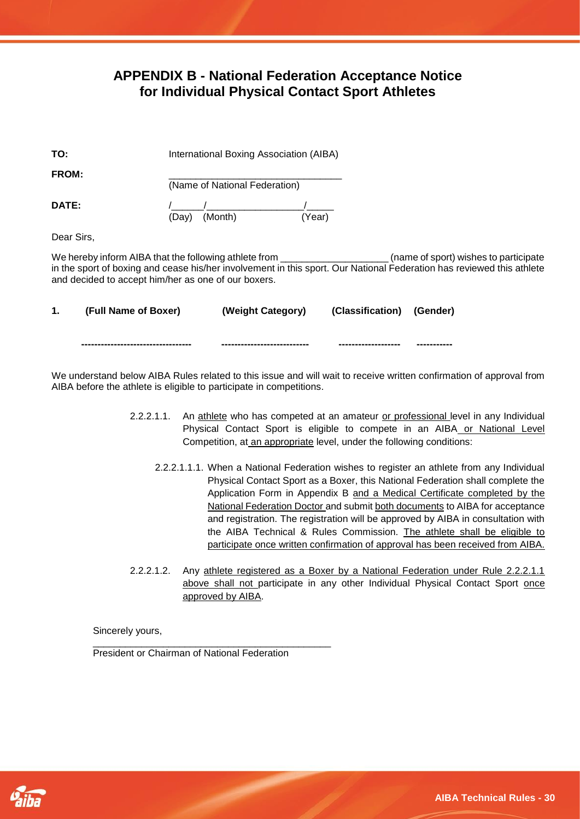## **APPENDIX B - National Federation Acceptance Notice for Individual Physical Contact Sport Athletes**

<span id="page-29-0"></span>

| TO:          | International Boxing Association (AIBA) |
|--------------|-----------------------------------------|
| <b>FROM:</b> | (Name of National Federation)           |
| DATE:        | (Year)<br>(Month)<br>(Day)              |
| Dear Sirs,   |                                         |

We hereby inform AIBA that the following athlete from \_\_\_\_\_\_\_\_\_\_\_\_\_\_\_\_\_\_\_\_\_\_(name of sport) wishes to participate in the sport of boxing and cease his/her involvement in this sport. Our National Federation has reviewed this athlete and decided to accept him/her as one of our boxers.

| (Full Name of Boxer)               | (Weight Category)           | (Classification) (Gender) |              |
|------------------------------------|-----------------------------|---------------------------|--------------|
| ---------------------------------- | --------------------------- | -------------------       | ------------ |

We understand below AIBA Rules related to this issue and will wait to receive written confirmation of approval from AIBA before the athlete is eligible to participate in competitions.

- 2.2.2.1.1. An athlete who has competed at an amateur or professional level in any Individual Physical Contact Sport is eligible to compete in an AIBA or National Level Competition, at an appropriate level, under the following conditions:
	- 2.2.2.1.1.1. When a National Federation wishes to register an athlete from any Individual Physical Contact Sport as a Boxer, this National Federation shall complete the Application Form in Appendix B and a Medical Certificate completed by the National Federation Doctor and submit both documents to AIBA for acceptance and registration. The registration will be approved by AIBA in consultation with the AIBA Technical & Rules Commission. The athlete shall be eligible to participate once written confirmation of approval has been received from AIBA.
- 2.2.2.1.2. Any athlete registered as a Boxer by a National Federation under Rule 2.2.2.1.1 above shall not participate in any other Individual Physical Contact Sport once approved by AIBA.

Sincerely yours,

\_\_\_\_\_\_\_\_\_\_\_\_\_\_\_\_\_\_\_\_\_\_\_\_\_\_\_\_\_\_\_\_\_\_\_\_\_\_\_\_\_\_\_\_ President or Chairman of National Federation

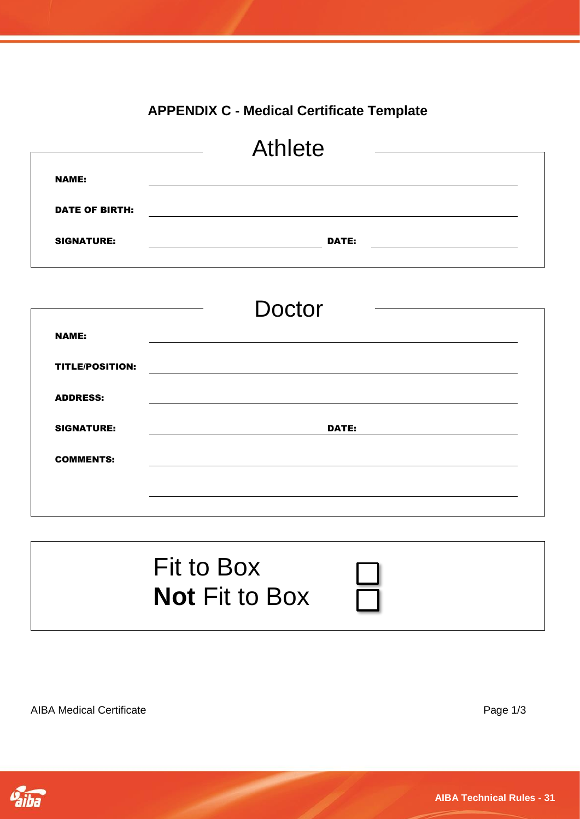# **APPENDIX C - Medical Certificate Template**

<span id="page-30-0"></span>

|                        | <b>Athlete</b>                                                                                                                |  |
|------------------------|-------------------------------------------------------------------------------------------------------------------------------|--|
| <b>NAME:</b>           |                                                                                                                               |  |
| <b>DATE OF BIRTH:</b>  |                                                                                                                               |  |
| <b>SIGNATURE:</b>      | DATE:<br><u> 1989 - Jan Barbara Barat, prima prima prima prima prima prima prima prima prima prima prima prima prima prim</u> |  |
|                        | <b>Doctor</b>                                                                                                                 |  |
| <b>NAME:</b>           |                                                                                                                               |  |
| <b>TITLE/POSITION:</b> |                                                                                                                               |  |
| <b>ADDRESS:</b>        |                                                                                                                               |  |
| <b>SIGNATURE:</b>      | <b>DATE:</b>                                                                                                                  |  |



AIBA Medical Certificate **Page 1/3** 

COMMENTS:

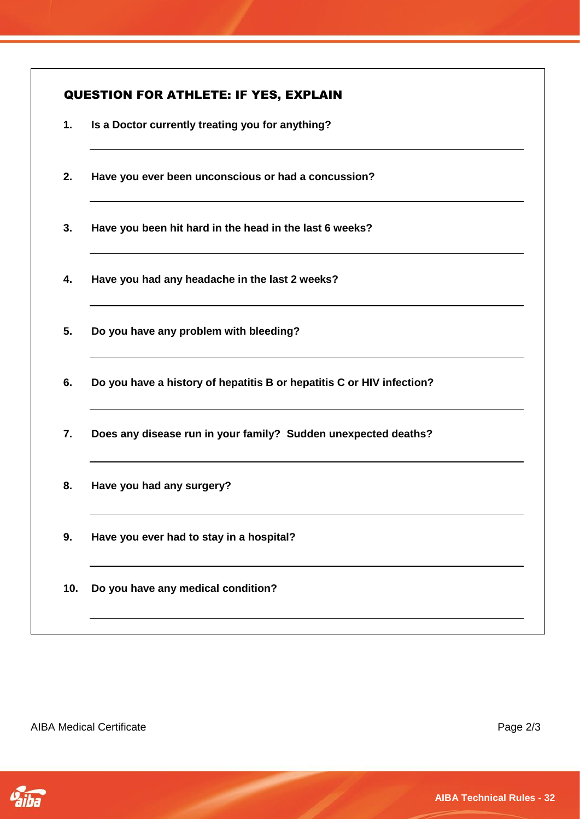| Is a Doctor currently treating you for anything?<br>Have you ever been unconscious or had a concussion?<br>Have you been hit hard in the head in the last 6 weeks?<br>Have you had any headache in the last 2 weeks? |
|----------------------------------------------------------------------------------------------------------------------------------------------------------------------------------------------------------------------|
|                                                                                                                                                                                                                      |
|                                                                                                                                                                                                                      |
|                                                                                                                                                                                                                      |
|                                                                                                                                                                                                                      |
| Do you have any problem with bleeding?                                                                                                                                                                               |
| Do you have a history of hepatitis B or hepatitis C or HIV infection?                                                                                                                                                |
| Does any disease run in your family? Sudden unexpected deaths?                                                                                                                                                       |
| Have you had any surgery?                                                                                                                                                                                            |
|                                                                                                                                                                                                                      |
| Have you ever had to stay in a hospital?                                                                                                                                                                             |
|                                                                                                                                                                                                                      |

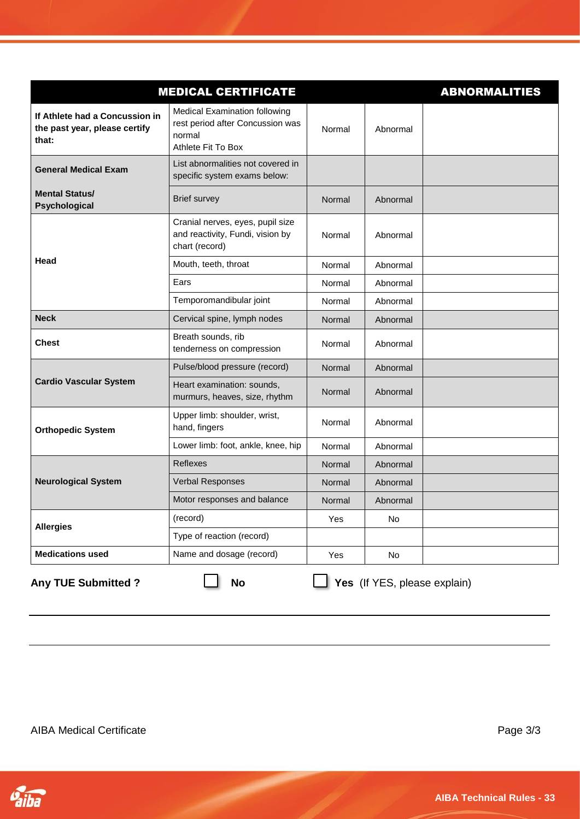|                                                                          | <b>MEDICAL CERTIFICATE</b>                                                                               |        |           | <b>ABNORMALITIES</b> |
|--------------------------------------------------------------------------|----------------------------------------------------------------------------------------------------------|--------|-----------|----------------------|
| If Athlete had a Concussion in<br>the past year, please certify<br>that: | <b>Medical Examination following</b><br>rest period after Concussion was<br>normal<br>Athlete Fit To Box | Normal | Abnormal  |                      |
| <b>General Medical Exam</b>                                              | List abnormalities not covered in<br>specific system exams below:                                        |        |           |                      |
| <b>Mental Status/</b><br>Psychological                                   | <b>Brief survey</b>                                                                                      | Normal | Abnormal  |                      |
|                                                                          | Cranial nerves, eyes, pupil size<br>and reactivity, Fundi, vision by<br>chart (record)                   | Normal | Abnormal  |                      |
| Head                                                                     | Mouth, teeth, throat                                                                                     | Normal | Abnormal  |                      |
|                                                                          | Ears                                                                                                     | Normal | Abnormal  |                      |
|                                                                          | Temporomandibular joint                                                                                  | Normal | Abnormal  |                      |
| <b>Neck</b>                                                              | Cervical spine, lymph nodes                                                                              | Normal | Abnormal  |                      |
| <b>Chest</b>                                                             | Breath sounds, rib<br>tenderness on compression                                                          | Normal | Abnormal  |                      |
|                                                                          | Pulse/blood pressure (record)                                                                            | Normal | Abnormal  |                      |
| <b>Cardio Vascular System</b>                                            | Heart examination: sounds,<br>murmurs, heaves, size, rhythm                                              | Normal | Abnormal  |                      |
| <b>Orthopedic System</b>                                                 | Upper limb: shoulder, wrist,<br>hand, fingers                                                            | Normal | Abnormal  |                      |
|                                                                          | Lower limb: foot, ankle, knee, hip                                                                       | Normal | Abnormal  |                      |
|                                                                          | Reflexes                                                                                                 | Normal | Abnormal  |                      |
| <b>Neurological System</b>                                               | Verbal Responses                                                                                         | Normal | Abnormal  |                      |
|                                                                          | Motor responses and balance                                                                              | Normal | Abnormal  |                      |
| <b>Allergies</b>                                                         | (record)                                                                                                 | Yes    | No        |                      |
|                                                                          | Type of reaction (record)                                                                                |        |           |                      |
| <b>Medications used</b>                                                  | Name and dosage (record)                                                                                 | Yes    | <b>No</b> |                      |

╱

**Any TUE Submitted ? No Yes** (If YES, please explain)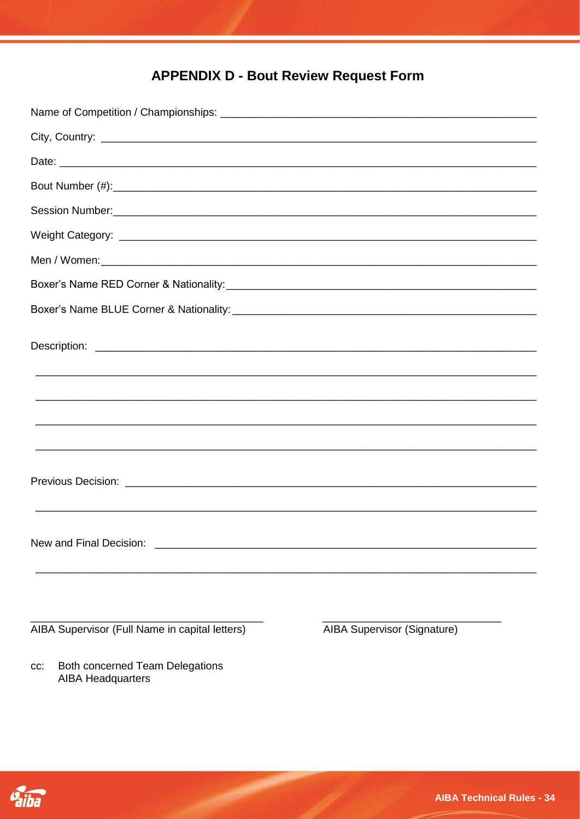# <span id="page-33-0"></span>**APPENDIX D - Bout Review Request Form**

| Session Number: <u>Communications and the set of the set of the set of the set of the set of the set of the set of the set of the set of the set of the set of the set of the set of the set of the set of the set of the set of</u> |                                    |
|--------------------------------------------------------------------------------------------------------------------------------------------------------------------------------------------------------------------------------------|------------------------------------|
|                                                                                                                                                                                                                                      |                                    |
|                                                                                                                                                                                                                                      |                                    |
|                                                                                                                                                                                                                                      |                                    |
|                                                                                                                                                                                                                                      |                                    |
|                                                                                                                                                                                                                                      |                                    |
| ,我们就会在这里的人,我们就会在这里的人,我们就会在这里的人,我们就会在这里,我们就会在这里,我们就会在这里,我们就会在这里,我们就会在这里,我们就会在这里,我<br>第251章 我们的人,我们就会在这里,我们就会在这里,我们就会在这里,我们就会在这里,我们就会在这里,我们就会在这里,我们就会在这里,我们就会在这里,我们就会在                                                                 |                                    |
|                                                                                                                                                                                                                                      |                                    |
|                                                                                                                                                                                                                                      |                                    |
|                                                                                                                                                                                                                                      |                                    |
| New and Final Decision:                                                                                                                                                                                                              |                                    |
|                                                                                                                                                                                                                                      |                                    |
| AIBA Supervisor (Full Name in capital letters)                                                                                                                                                                                       | <b>AIBA Supervisor (Signature)</b> |

Both concerned Team Delegations<br>AIBA Headquarters cc:

Vaiba

**AIBA Technical Rules - 34**